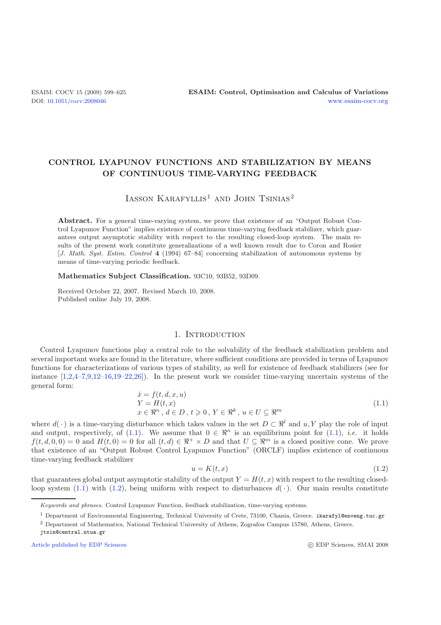# **CONTROL LYAPUNOV FUNCTIONS AND STABILIZATION BY MEANS OF CONTINUOUS TIME-VARYING FEEDBACK**

# $I$ ASSON KARAFYLLIS<sup>1</sup> AND JOHN TSINIAS<sup>2</sup>

Abstract. For a general time-varying system, we prove that existence of an "Output Robust Control Lyapunov Function" implies existence of continuous time-varying feedback stabilizer, which guarantees output asymptotic stability with respect to the resulting closed-loop system. The main results of the present work constitute generalizations of a well known result due to Coron and Rosier [*J. Math. Syst. Estim. Control* **4** (1994) 67–84] concerning stabilization of autonomous systems by means of time-varying periodic feedback.

#### **Mathematics Subject Classification.** 93C10, 93B52, 93D09.

<span id="page-0-0"></span>Received October 22, 2007. Revised March 10, 2008. Published online July 19, 2008.

# 1. INTRODUCTION

Control Lyapunov functions play a central role to the solvability of the feedback stabilization problem and several important works are found in the literature, where sufficient conditions are provided in terms of Lyapunov functions for characterizations of various types of stability, as well for existence of feedback stabilizers (see for instance  $[1,2,4-7,9,12-16,19-22,26]$  $[1,2,4-7,9,12-16,19-22,26]$  $[1,2,4-7,9,12-16,19-22,26]$  $[1,2,4-7,9,12-16,19-22,26]$  $[1,2,4-7,9,12-16,19-22,26]$  $[1,2,4-7,9,12-16,19-22,26]$  $[1,2,4-7,9,12-16,19-22,26]$  $[1,2,4-7,9,12-16,19-22,26]$  $[1,2,4-7,9,12-16,19-22,26]$  $[1,2,4-7,9,12-16,19-22,26]$ . In the present work we consider time-varying uncertain systems of the general form:  $\theta$  (  $\theta$  +  $\theta$ )

<span id="page-0-1"></span>
$$
\begin{aligned}\n\dot{x} &= f(t, d, x, u) \\
Y &= H(t, x) \\
x &\in \mathbb{R}^n, d \in D, t \geqslant 0, Y \in \mathbb{R}^k, u \in U \subseteq \mathbb{R}^m\n\end{aligned} \tag{1.1}
$$

where  $d(\cdot)$  is a time-varying disturbance which takes values in the set  $D \subset \mathbb{R}^l$  and  $u, Y$  play the role of input and output, respectively, of [\(1.1\)](#page-0-0). We assume that  $0 \in \mathbb{R}^n$  is an equilibrium point for (1.1), *i.e.* it holds  $f(t, d, 0, 0) = 0$  and  $H(t, 0) = 0$  for all  $(t, d) \in \mathbb{R}^+ \times D$  and that  $U \subseteq \mathbb{R}^m$  is a closed positive cone. We prove that existence of an "Output Robust Control Lyapunov Function" (ORCLF) implies existence of continuous time-varying feedback stabilizer

$$
u = K(t, x) \tag{1.2}
$$

that guarantees global output asymptotic stability of the output  $Y = H(t, x)$  with respect to the resulting closed-loop system [\(1.1\)](#page-0-0) with [\(1.2\)](#page-0-1), being uniform with respect to disturbances  $d(\cdot)$ . Our main results constitute

[Article published by EDP Sciences](http://www.edpsciences.org)

Keywords and phrases. Control Lyapunov Function, feedback stabilization, time-varying systems.

<sup>1</sup> Department of Environmental Engineering, Technical University of Crete, 73100, Chania, Greece. ikarafyl@enveng.tuc.gr

<sup>2</sup> Department of Mathematics, National Technical University of Athens, Zografou Campus 15780, Athens, Greece.

jtsin@central.ntua.gr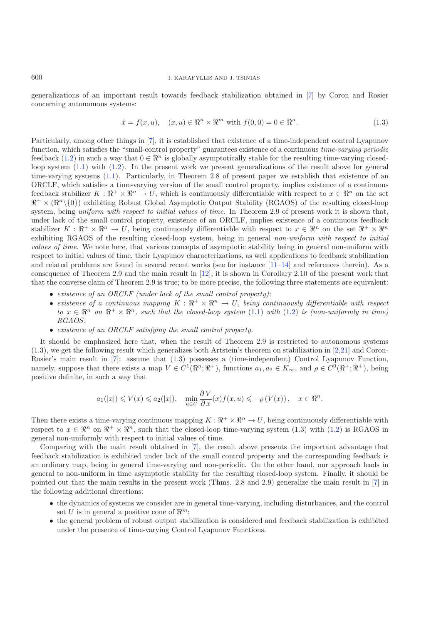generalizations of an important result towards feedback stabilization obtained in [\[7\]](#page-26-3) by Coron and Rosier concerning autonomous systems:

$$
\dot{x} = f(x, u), \quad (x, u) \in \mathbb{R}^n \times \mathbb{R}^m \text{ with } f(0, 0) = 0 \in \mathbb{R}^n. \tag{1.3}
$$

Particularly, among other things in [\[7](#page-26-3)], it is established that existence of a time-independent control Lyapunov function, which satisfies the "small-control property" guarantees existence of a continuous *time-varying periodic* feedback [\(1.2\)](#page-0-1) in such a way that  $0 \in \mathbb{R}^n$  is globally asymptotically stable for the resulting time-varying closedloop system [\(1.1\)](#page-0-0) with [\(1.2\)](#page-0-1). In the present work we present generalizations of the result above for general time-varying systems [\(1.1\)](#page-0-0). Particularly, in Theorem 2.8 of present paper we establish that existence of an ORCLF, which satisfies a time-varying version of the small control property, implies existence of a continuous feedback stabilizer  $K : \mathbb{R}^+ \times \mathbb{R}^n \to U$ , which is continuously differentiable with respect to  $x \in \mathbb{R}^n$  on the set  $\mathbb{R}^+ \times (\mathbb{R}^n \setminus \{0\})$  exhibiting Robust Global Asymptotic Output Stability (RGAOS) of the resulting closed-loop system, being *uniform with respect to initial values of time*. In Theorem 2.9 of present work it is shown that, under lack of the small control property, existence of an ORCLF, implies existence of a continuous feedback stabilizer  $K : \mathbb{R}^+ \times \mathbb{R}^n \to U$ , being continuously differentiable with respect to  $x \in \mathbb{R}^n$  on the set  $\mathbb{R}^+ \times \mathbb{R}^n$ exhibiting RGAOS of the resulting closed-loop system, being in general *non-uniform with respect to initial values of time*. We note here, that various concepts of asymptotic stability being in general non-uniform with respect to initial values of time, their Lyapunov characterizations, as well applications to feedback stabilization and related problems are found in several recent works (see for instance [\[11](#page-26-10)[–14\]](#page-26-11) and references therein). As a consequence of Theorem 2.9 and the main result in [\[12\]](#page-26-5), it is shown in Corollary 2.10 of the present work that that the converse claim of Theorem 2.9 is true; to be more precise, the following three statements are equivalent:

- *existence of an ORCLF (under lack of the small control property)*;
- existence of a continuous mapping  $K : \mathbb{R}^+ \times \mathbb{R}^n \to U$ , being continuously differentiable with respect  $to x \in \mathbb{R}^n$  on  $\mathbb{R}^+ \times \mathbb{R}^n$ , such that the closed-loop system [\(1.1\)](#page-0-0) with [\(1.2\)](#page-0-1) is (non-uniformly in time) *RGAOS*;
- *existence of an ORCLF satisfying the small control property.*

It should be emphasized here that, when the result of Theorem 2.9 is restricted to autonomous systems  $(1.3)$ , we get the following result which generalizes both Artstein's theorem on stabilization in [\[2](#page-26-1)[,21\]](#page-26-12) and Coron-Rosier's main result in [\[7\]](#page-26-3): assume that (1.3) possesses a (time-independent) Control Lyapunov Function, namely, suppose that there exists a map  $V \in C^1(\mathbb{R}^n; \mathbb{R}^+)$ , functions  $a_1, a_2 \in K_\infty$ , and  $\rho \in C^0(\mathbb{R}^+; \mathbb{R}^+)$ , being positive definite, in such a way that

$$
a_1(|x|) \leq V(x) \leq a_2(|x|), \quad \min_{u \in U} \frac{\partial V}{\partial x}(x) f(x, u) \leq -\rho(V(x)), \quad x \in \Re^n.
$$

Then there exists a time-varying continuous mapping  $K : \mathbb{R}^+ \times \mathbb{R}^n \to U$ , being continuously differentiable with respect to  $x \in \mathbb{R}^n$  on  $\mathbb{R}^+ \times \mathbb{R}^n$ , such that the closed-loop time-varying system (1.3) with [\(1.2\)](#page-0-1) is RGAOS in general non-uniformly with respect to initial values of time.

Comparing with the main result obtained in [\[7\]](#page-26-3), the result above presents the important advantage that feedback stabilization is exhibited under lack of the small control property and the corresponding feedback is an ordinary map, being in general time-varying and non-periodic. On the other hand, our approach leads in general to non-uniform in time asymptotic stability for the resulting closed-loop system. Finally, it should be pointed out that the main results in the present work (Thms. 2.8 and 2.9) generalize the main result in [\[7\]](#page-26-3) in the following additional directions:

- the dynamics of systems we consider are in general time-varying, including disturbances, and the control set U is in general a positive cone of  $\mathbb{R}^m$ ;
- the general problem of robust output stabilization is considered and feedback stabilization is exhibited under the presence of time-varying Control Lyapunov Functions.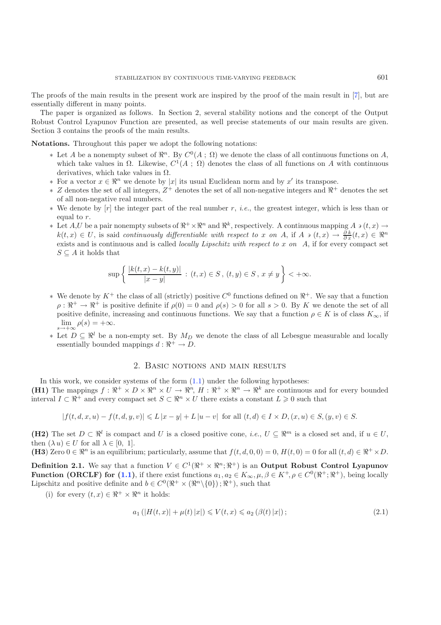The proofs of the main results in the present work are inspired by the proof of the main result in [\[7\]](#page-26-3), but are essentially different in many points.

The paper is organized as follows. In Section 2, several stability notions and the concept of the Output Robust Control Lyapunov Function are presented, as well precise statements of our main results are given. Section 3 contains the proofs of the main results.

**Notations.** Throughout this paper we adopt the following notations:

- $∗$  Let *A* be a nonempty subset of  $\mathbb{R}^n$ . By  $C^0(A; \Omega)$  we denote the class of all continuous functions on *A*, which take values in  $\Omega$ . Likewise,  $C^1(A; \Omega)$  denotes the class of all functions on A with continuous derivatives, which take values in  $\Omega$ .
- ∗ For a vector  $x \in \mathbb{R}^n$  we denote by |x| its usual Euclidean norm and by x' its transpose.
- $*$  Z denotes the set of all integers,  $Z^+$  denotes the set of all non-negative integers and  $\mathbb{R}^+$  denotes the set of all non-negative real numbers.
- ∗ We denote by [r] the integer part of the real number r, *i.e.*, the greatest integer, which is less than or equal to r.
- ∗ Let  $A, U$  be a pair nonempty subsets of  $\mathbb{R}^+ \times \mathbb{R}^n$  and  $\mathbb{R}^k$ , respectively. A continuous mapping  $A \ni (t, x) \rightarrow$  $k(t, x) \in U$ , is said *continuously differentiable with respect to* x *on* A, if A  $\in (t, x) \rightarrow \frac{\partial k}{\partial x}(t, x) \in \mathbb{R}^n$ exists and is continuous and is called *locally Lipschitz with respect to* x *on* A, if for every compact set  $S \subseteq A$  it holds that

$$
\sup \left\{ \frac{|k(t,x) - k(t,y)|}{|x - y|} : (t,x) \in S, (t,y) \in S, x \neq y \right\} < +\infty.
$$

- ∗ We denote by  $K^+$  the class of all (strictly) positive  $C^0$  functions defined on  $\mathbb{R}^+$ . We say that a function  $\rho : \mathbb{R}^+ \to \mathbb{R}^+$  is positive definite if  $\rho(0) = 0$  and  $\rho(s) > 0$  for all  $s > 0$ . By K we denote the set of all positive definite, increasing and continuous functions. We say that a function  $\rho \in K$  is of class  $K_{\infty}$ , if  $\lim_{s\to\infty} \rho(s)=+\infty.$
- ∗ Let  $D \subseteq \mathbb{R}^l$  be a non-empty set. By  $M_D$  we denote the class of all Lebesgue measurable and locally essentially bounded mappings  $d : \mathbb{R}^+ \to D$ .

# 2. Basic notions and main results

In this work, we consider systems of the form  $(1.1)$  under the following hypotheses: **(H1)** The mappings  $f : \mathbb{R}^+ \times D \times \mathbb{R}^n \times U \to \mathbb{R}^n$ ,  $H : \mathbb{R}^+ \times \mathbb{R}^n \to \mathbb{R}^k$  are continuous and for every bounded interval  $I \subset \mathbb{R}^+$  and every compact set  $S \subset \mathbb{R}^n \times U$  there exists a constant  $L \geq 0$  such that

<span id="page-2-0"></span>
$$
|f(t, d, x, u) - f(t, d, y, v)| \le L |x - y| + L |u - v| \text{ for all } (t, d) \in I \times D, (x, u) \in S, (y, v) \in S.
$$

**(H2)** The set  $D \subset \mathbb{R}^l$  is compact and U is a closed positive cone, *i.e.*,  $U \subset \mathbb{R}^m$  is a closed set and, if  $u \in U$ , then  $(\lambda u) \in U$  for all  $\lambda \in [0, 1]$ .

**(H3**) Zero  $0 \in \mathbb{R}^n$  is an equilibrium; particularly, assume that  $f(t, d, 0, 0) = 0$ ,  $H(t, 0) = 0$  for all  $(t, d) \in \mathbb{R}^+ \times D$ .

**Definition 2.1.** We say that a function  $V \in C^1(\mathbb{R}^+ \times \mathbb{R}^n; \mathbb{R}^+)$  is an **Output Robust Control Lyapunov Function (ORCLF) for [\(1.1\)](#page-0-0),** if there exist functions  $a_1, a_2 \in K_\infty, \mu, \beta \in K^+, \rho \in C^0(\mathbb{R}^+; \mathbb{R}^+)$ , being locally Lipschitz and positive definite and  $b \in C^{0}(\mathbb{R}^{+} \times (\mathbb{R}^{n} \setminus \{0\}) ; \mathbb{R}^{+})$ , such that

(i) for every  $(t, x) \in \mathbb{R}^+ \times \mathbb{R}^n$  it holds:

$$
a_1(|H(t,x)| + \mu(t)|x|) \le V(t,x) \le a_2(\beta(t)|x|); \tag{2.1}
$$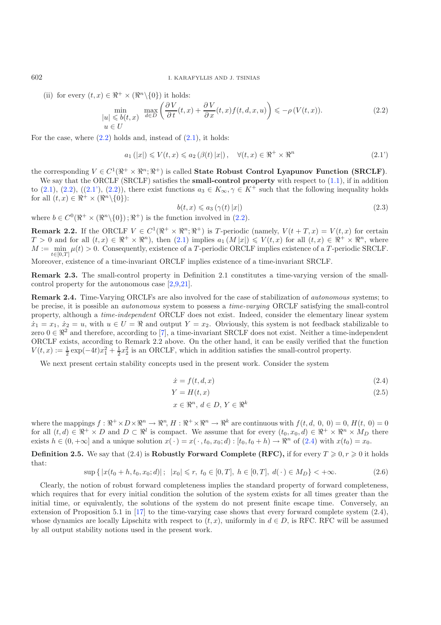(ii) for every  $(t, x) \in \mathbb{R}^+ \times (\mathbb{R}^n \setminus \{0\})$  it holds:

<span id="page-3-3"></span><span id="page-3-1"></span>
$$
\min_{\begin{array}{l} |u| \leqslant b(t,x) \\ u \in U \end{array}} \max_{d \in D} \left( \frac{\partial V}{\partial t}(t,x) + \frac{\partial V}{\partial x}(t,x)f(t,d,x,u) \right) \leqslant -\rho \left( V(t,x) \right). \tag{2.2}
$$

For the case, where  $(2.2)$  holds and, instead of  $(2.1)$ , it holds:

$$
a_1(|x|) \le V(t, x) \le a_2(\beta(t) |x|), \quad \forall (t, x) \in \mathbb{R}^+ \times \mathbb{R}^n
$$
\n
$$
(2.1')
$$

the corresponding  $V \in C^1(\mathbb{R}^+ \times \mathbb{R}^n; \mathbb{R}^+)$  is called **State Robust Control Lyapunov Function (SRCLF)**.

We say that the ORCLF (SRCLF) satisfies the **small-control property** with respect to  $(1.1)$ , if in addition to [\(2.1\)](#page-2-0), [\(2.2\)](#page-3-0), ([\(2.1'\)](#page-3-1), (2.2)), there exist functions  $a_3 \in K_{\infty}$ ,  $\gamma \in K^+$  such that the following inequality holds for all  $(t, x) \in \mathbb{R}^+ \times (\mathbb{R}^n \setminus \{0\})$ :

<span id="page-3-2"></span>
$$
b(t, x) \leq a_3 \left( \gamma(t) \left| x \right| \right) \tag{2.3}
$$

where  $b \in C^{0}(\mathbb{R}^{+} \times (\mathbb{R}^{n} \setminus \{0\})$ ;  $\mathbb{R}^{+}$ ) is the function involved in [\(2.2\)](#page-3-0).

**Remark 2.2.** If the ORCLF  $V \in C^1(\mathbb{R}^+ \times \mathbb{R}^n; \mathbb{R}^+)$  is T-periodic (namely,  $V(t + T, x) = V(t, x)$  for certain  $T > 0$  and for all  $(t, x) \in \mathbb{R}^+ \times \mathbb{R}^n$ , then  $(2.1)$  implies  $a_1(M|x|) \leq V(t, x)$  for all  $(t, x) \in \mathbb{R}^+ \times \mathbb{R}^n$ , where  $M := \min_{t \in [0,T]} \mu(t) > 0.$  Consequently, existence of a T-periodic ORCLF implies existence of a T-periodic SRCLF. Moreover, existence of a time-invariant ORCLF implies existence of a time-invariant SRCLF.

**Remark 2.3.** The small-control property in Definition 2.1 constitutes a time-varying version of the smallcontrol property for the autonomous case [\[2](#page-26-1)[,9](#page-26-4)[,21](#page-26-12)].

**Remark 2.4.** Time-Varying ORCLFs are also involved for the case of stabilization of *autonomous* systems; to be precise, it is possible an *autonomous* system to possess a *time-varying* ORCLF satisfying the small-control property, although a *time-independent* ORCLF does not exist. Indeed, consider the elementary linear system  $\dot{x}_1 = x_1, \, \dot{x}_2 = u$ , with  $u \in U = \Re$  and output  $Y = x_2$ . Obviously, this system is not feedback stabilizable to zero  $0 \in \mathbb{R}^2$  and therefore, according to [\[7\]](#page-26-3), a time-invariant SRCLF does not exist. Neither a time-independent ORCLF exists, according to Remark 2.2 above. On the other hand, it can be easily verified that the function  $V(t, x) := \frac{1}{2} \exp(-4t)x_1^2 + \frac{1}{2}x_2^2$  is an ORCLF, which in addition satisfies the small-control property.

We next present certain stability concepts used in the present work. Consider the system

$$
\dot{x} = f(t, d, x) \tag{2.4}
$$

$$
Y = H(t, x) \tag{2.5}
$$

$$
x \in \mathbb{R}^n, \, d \in D, \, Y \in \mathbb{R}^k
$$

where the mappings  $f: \mathbb{R}^+ \times D \times \mathbb{R}^n \to \mathbb{R}^n$ ,  $H: \mathbb{R}^+ \times \mathbb{R}^n \to \mathbb{R}^k$  are continuous with  $f(t, d, 0, 0) = 0$ ,  $H(t, 0) = 0$ for all  $(t, d) \in \mathbb{R}^+ \times D$  and  $D \subset \mathbb{R}^l$  is compact. We assume that for every  $(t_0, x_0, d) \in \mathbb{R}^+ \times \mathbb{R}^n \times M_D$  there exists  $h \in (0, +\infty]$  and a unique solution  $x(\cdot) = x(\cdot, t_0, x_0; d)$ :  $[t_0, t_0 + h] \to \Re^n$  of [\(2.4\)](#page-3-2) with  $x(t_0) = x_0$ .

**Definition 2.5.** We say that  $(2.4)$  is **Robustly Forward Complete (RFC),** if for every  $T \geqslant 0, r \geqslant 0$  it holds that:

$$
\sup\{|x(t_0+h,t_0,x_0;d)|\,;\ |x_0|\leq r,\ t_0\in[0,T],\ h\in[0,T],\ d(\cdot)\in M_D\}<+\infty. \tag{2.6}
$$

Clearly, the notion of robust forward completeness implies the standard property of forward completeness, which requires that for every initial condition the solution of the system exists for all times greater than the initial time, or equivalently, the solutions of the system do not present finite escape time. Conversely, an extension of Proposition 5.1 in [\[17\]](#page-26-13) to the time-varying case shows that every forward complete system (2.4), whose dynamics are locally Lipschitz with respect to  $(t, x)$ , uniformly in  $d \in D$ , is RFC. RFC will be assumed by all output stability notions used in the present work.

<span id="page-3-0"></span>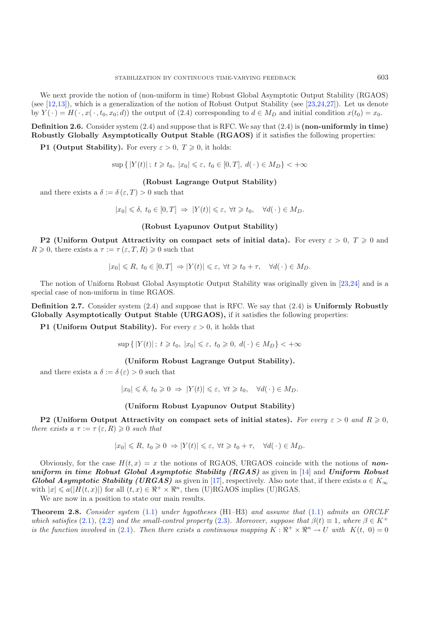We next provide the notion of (non-uniform in time) Robust Global Asymptotic Output Stability (RGAOS) (see [\[12](#page-26-5)[,13\]](#page-26-14)), which is a generalization of the notion of Robust Output Stability (see [\[23](#page-26-15)[,24](#page-26-16)[,27\]](#page-26-17)). Let us denote by  $Y(\cdot) = H(\cdot, x(\cdot, t_0, x_0; d))$  the output of (2.4) corresponding to  $d \in M_D$  and initial condition  $x(t_0) = x_0$ .

**Definition 2.6.** Consider system (2.4) and suppose that is RFC. We say that (2.4) is **(non-uniformly in time) Robustly Globally Asymptotically Output Stable (RGAOS)** if it satisfies the following properties:

**P1 (Output Stability).** For every  $\varepsilon > 0$ ,  $T \ge 0$ , it holds:

 $\sup\{|Y(t)|\,;\ t\geqslant t_0,\ |x_0|\leqslant \varepsilon,\ t_0\in [0,T],\ d(\,\cdot\,)\in M_D\}<+\infty$ 

# **(Robust Lagrange Output Stability)**

and there exists a  $\delta := \delta(\varepsilon, T) > 0$  such that

 $|x_0| \leq \delta, t_0 \in [0, T] \Rightarrow |Y(t)| \leq \varepsilon, \forall t \geq t_0, \quad \forall d(\cdot) \in M_D.$ 

# **(Robust Lyapunov Output Stability)**

**P2** (Uniform Output Attractivity on compact sets of initial data). For every  $\varepsilon > 0$ ,  $T \ge 0$  and  $R \geqslant 0$ , there exists a  $\tau := \tau (\varepsilon, T, R) \geqslant 0$  such that

$$
|x_0| \le R, t_0 \in [0, T] \Rightarrow |Y(t)| \le \varepsilon, \ \forall t \ge t_0 + \tau, \quad \forall d(\cdot) \in M_D.
$$

The notion of Uniform Robust Global Asymptotic Output Stability was originally given in [\[23](#page-26-15)[,24\]](#page-26-16) and is a special case of non-uniform in time RGAOS.

**Definition 2.7.** Consider system (2.4) and suppose that is RFC. We say that (2.4) is **Uniformly Robustly Globally Asymptotically Output Stable (URGAOS),** if it satisfies the following properties:

**P1 (Uniform Output Stability).** For every  $\varepsilon > 0$ , it holds that

 $\sup\{|Y(t)|\,;\;t\geq t_0,\;|x_0|\leqslant \varepsilon,\;t_0\geqslant 0,\;d(\,\cdot\,)\in M_D\}<+\infty$ 

**(Uniform Robust Lagrange Output Stability).**

and there exists a  $\delta := \delta(\varepsilon) > 0$  such that

$$
|x_0| \leq \delta, t_0 \geq 0 \Rightarrow |Y(t)| \leq \varepsilon, \forall t \geq t_0, \quad \forall d(\cdot) \in M_D.
$$

### **(Uniform Robust Lyapunov Output Stability)**

**P2** (Uniform Output Attractivity on compact sets of initial states). For every  $\varepsilon > 0$  and  $R \ge 0$ , *there exists a*  $\tau := \tau (\varepsilon, R) \geqslant 0$  *such that* 

$$
|x_0| \le R, t_0 \ge 0 \Rightarrow |Y(t)| \le \varepsilon, \forall t \ge t_0 + \tau, \quad \forall d(\cdot) \in M_D.
$$

Obviously, for the case  $H(t, x) = x$  the notions of RGAOS, URGAOS coincide with the notions of **non***uniform in time Robust Global Asymptotic Stability (RGAS)* as given in [\[14\]](#page-26-11) and *Uniform Robust Global Asymptotic Stability (URGAS)* as given in [\[17\]](#page-26-13), respectively. Also note that, if there exists  $a \in K_{\infty}$ with  $|x| \leq a(|H(t,x)|)$  for all  $(t,x) \in \mathbb{R}^+ \times \mathbb{R}^n$ , then (U)RGAOS implies (U)RGAS.

We are now in a position to state our main results.

**Theorem 2.8.** *Consider system* [\(1.1\)](#page-0-0) *under hypotheses* (H1–H3) *and assume that* [\(1.1\)](#page-0-0) *admits an ORCLF which satisfies* [\(2.1\)](#page-2-0), [\(2.2\)](#page-3-0) *and the small-control property* [\(2.3\)](#page-3-3)*. Moreover, suppose that*  $\beta(t) \equiv 1$ *, where*  $\beta \in K^+$ *is the function involved in* [\(2.1\)](#page-2-0). Then there exists a continuous mapping  $K : \mathbb{R}^+ \times \mathbb{R}^n \to U$  with  $K(t, 0) = 0$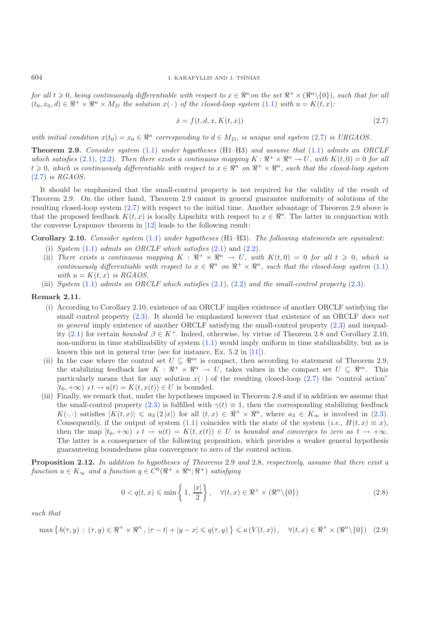$for \ all \ t \geqslant 0, \ being \ continuously \ differentiable \ with \ respect \ to \ x \in \mathbb{R}^n on \ the \ set \ \mathbb{R}^+ \times (\mathbb{R}^n \setminus \{0\}), \ such \ that \ for \ all \ t \geqslant 0.$  $(t_0, x_0, d) \in \mathbb{R}^+ \times \mathbb{R}^n \times M_D$  *the solution*  $x(\cdot)$  *of the closed-loop system*  $(1.1)$  *with*  $u = K(t, x)$ *:* 

$$
\dot{x} = f(t, d, x, K(t, x))\tag{2.7}
$$

*with initial condition*  $x(t_0) = x_0 \in \mathbb{R}^n$  corresponding to  $d \in M_D$ , is unique and system [\(2.7\)](#page-5-0) is URGAOS.

**Theorem 2.9.** *Consider system* [\(1.1\)](#page-0-0) *under hypotheses* (H1–H3) *and assume that* [\(1.1\)](#page-0-0) *admits an ORCLF which satisfies* [\(2.1\)](#page-2-0), [\(2.2\)](#page-3-0). Then there exists a continuous mapping  $K : \mathbb{R}^+ \times \mathbb{R}^n \to U$ , with  $K(t, 0) = 0$  for all  $t \geq 0$ , which is continuously differentiable with respect to  $x \in \mathbb{R}^n$  on  $\mathbb{R}^+ \times \mathbb{R}^n$ , such that the closed-loop system [\(2.7\)](#page-5-0) *is RGAOS.*

It should be emphasized that the small-control property is not required for the validity of the result of Theorem 2.9. On the other hand, Theorem 2.9 cannot in general guarantee uniformity of solutions of the resulting closed-loop system [\(2.7\)](#page-5-0) with respect to the initial time. Another advantage of Theorem 2.9 above is that the proposed feedback  $K(t, x)$  is locally Lipschitz with respect to  $x \in \mathbb{R}^n$ . The latter in conjunction with the converse Lyapunov theorem in [\[12](#page-26-5)] leads to the following result:

**Corollary 2.10.** *Consider system* [\(1.1\)](#page-0-0) *under hypotheses* (H1–H3)*. The following statements are equivalent:*

- (i) *System*  $(1.1)$  *admits an ORCLF which satisfies*  $(2.1)$  and  $(2.2)$ *.*
- (ii) There exists a continuous mapping  $K : \mathbb{R}^+ \times \mathbb{R}^n \to U$ , with  $K(t,0) = 0$  for all  $t \geq 0$ , which is *continuously differentiable with respect to*  $x \in \mathbb{R}^n$  *on*  $\mathbb{R}^+ \times \mathbb{R}^n$ *, such that the closed-loop system* [\(1.1\)](#page-0-0) *with*  $u = K(t, x)$  *is RGAOS.*
- (iii) *System* [\(1.1\)](#page-0-0) *admits an ORCLF which satisfies* [\(2.1\)](#page-2-0), [\(2.2\)](#page-3-0) *and the small-control property* [\(2.3\)](#page-3-3)*.*

#### **Remark 2.11.**

- (i) According to Corollary 2.10, existence of an ORCLF implies existence of another ORCLF satisfying the small control property [\(2.3\)](#page-3-3). It should be emphasized however that existence of an ORCLF *does not in general* imply existence of another ORCLF satisfying the small-control property [\(2.3\)](#page-3-3) and inequal-ity [\(2.1\)](#page-2-0) for certain *bounded*  $\beta \in K^+$ . Indeed, otherwise, by virtue of Theorem 2.8 and Corollary 2.10, non-uniform in time stabilizability of system [\(1.1\)](#page-0-0) would imply uniform in time stabilizability, but as is known this not in general true (see for instance, Ex. 5.2 in [\[11\]](#page-26-10)).
- (ii) In the case where the control set  $U \subseteq \mathbb{R}^m$  is compact, then according to statement of Theorem 2.9, the stabilizing feedback law  $K : \mathbb{R}^+ \times \mathbb{R}^n \to U$ , takes values in the compact set  $U \subseteq \mathbb{R}^m$ . This particularly means that for any solution  $x(\cdot)$  of the resulting closed-loop [\(2.7\)](#page-5-0) the "control action"  $[t_0, +\infty)$  a  $t \to u(t) = K(t, x(t)) \in U$  is bounded.
- <span id="page-5-2"></span><span id="page-5-1"></span>(iii) Finally, we remark that, under the hypotheses imposed in Theorem 2.8 and if in addition we assume that the small-control property [\(2.3\)](#page-3-3) is fulfilled with  $\gamma(t) \equiv 1$ , then the corresponding stabilizing feedback  $K(\cdot, \cdot)$  satisfies  $|K(t, x)| \leq a_3 (2|x|)$  for all  $(t, x) \in \mathbb{R}^+ \times \mathbb{R}^n$ , where  $a_3 \in K_\infty$  is involved in [\(2.3\)](#page-3-3). Consequently, if the output of system  $(1.1)$  coincides with the state of the system  $(i.e., H(t, x) \equiv x)$ , then the map  $[t_0, +\infty)$   $\Rightarrow$   $t \to u(t) = K(t, x(t)) \in U$  *is bounded and converges to zero as*  $t \to +\infty$ . The latter is a consequence of the following proposition, which provides a weaker general hypothesis guaranteeing boundedness plus convergence to zero of the control action.

**Proposition 2.12.** *In addition to hypotheses of Theorems* 2.9 *and* 2.8*, respectively, assume that there exist a function*  $a \in K_{\infty}$  *and a function*  $q \in C^{0}(\mathbb{R}^{+} \times \mathbb{R}^{n}; \mathbb{R}^{+})$  *satisfying* 

$$
0 < q(t, x) \leqslant \min\left\{1, \frac{|x|}{2}\right\}, \quad \forall (t, x) \in \Re^+ \times (\Re^n \setminus \{0\}) \tag{2.8}
$$

*such that*

$$
\max\left\{b(\tau,y)\,:\,(\tau,y)\in\Re^+\times\Re^n\,,\,|\tau-t|+|y-x|\leqslant q(\tau,y)\right\}\leqslant a\left(V(t,x)\right),\quad\forall (t,x)\in\Re^+\times(\Re^n\setminus\{0\})\quad(2.9)
$$

<span id="page-5-0"></span>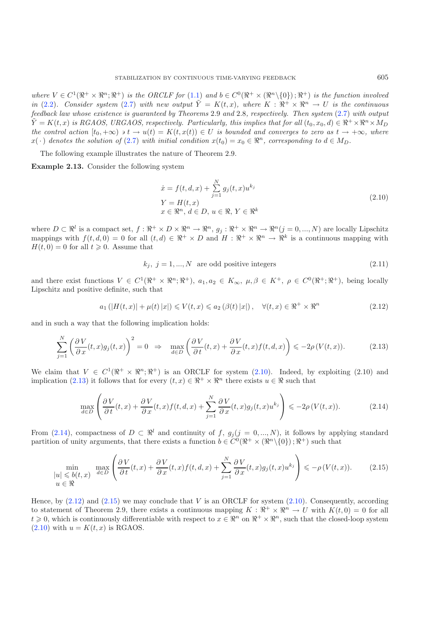<span id="page-6-0"></span>*where*  $V \in C^1(\mathbb{R}^+ \times \mathbb{R}^n; \mathbb{R}^+)$  *is the ORCLF for* [\(1.1\)](#page-0-0) and  $b \in C^0(\mathbb{R}^+ \times (\mathbb{R}^n \setminus \{0\}); \mathbb{R}^+)$  *is the function involved in* [\(2.2\)](#page-3-0)*.* Consider system [\(2.7\)](#page-5-0) with new output  $\tilde{Y} = K(t, x)$ , where  $K : \mathbb{R}^+ \times \mathbb{R}^n \to U$  is the continuous *feedback law whose existence is guaranteed by Theorems* 2.9 *and* 2.8*, respectively. Then system* [\(2.7\)](#page-5-0) *with output*  $\tilde{Y} = K(t, x)$  *is RGAOS, URGAOS, respectively. Particularly, this implies that for all*  $(t_0, x_0, d) \in \mathbb{R}^+ \times \mathbb{R}^n \times M_D$  $the \ control \ action \ [t_0, +\infty) \rightarrow t \rightarrow u(t) = K(t, x(t)) \in U \ \ is \ bounded \ and \ converges \ to \ zero \ as \ t \rightarrow +\infty, \ where$  $x(\cdot)$  denotes the solution of [\(2.7\)](#page-5-0) with initial condition  $x(t_0) = x_0 \in \mathbb{R}^n$ , corresponding to  $d \in M_D$ .

The following example illustrates the nature of Theorem 2.9.

<span id="page-6-3"></span>**Example 2.13.** Consider the following system

$$
\begin{aligned}\n\dot{x} &= f(t, d, x) + \sum_{j=1}^{N} g_j(t, x) u^{k_j} \\
Y &= H(t, x) \\
x &\in \mathbb{R}^n, d \in D, u \in \mathbb{R}, Y \in \mathbb{R}^k\n\end{aligned} \tag{2.10}
$$

<span id="page-6-1"></span>where  $D \subset \mathbb{R}^l$  is a compact set,  $f : \mathbb{R}^+ \times D \times \mathbb{R}^n \to \mathbb{R}^n$ ,  $g_j : \mathbb{R}^+ \times \mathbb{R}^n \to \mathbb{R}^n$  $(j = 0, ..., N)$  are locally Lipschitz mappings with  $f(t, d, 0) = 0$  for all  $(t, d) \in \mathbb{R}^+ \times D$  and  $H : \mathbb{R}^+ \times \mathbb{R}^n \to \mathbb{R}^k$  is a continuous mapping with  $H(t, 0) = 0$  for all  $t \geq 0$ . Assume that

$$
k_j, \ j = 1, \dots, N \text{ are odd positive integers} \tag{2.11}
$$

<span id="page-6-2"></span>and there exist functions  $V \in C^1(\mathbb{R}^+ \times \mathbb{R}^n; \mathbb{R}^+), a_1, a_2 \in K_\infty, \mu, \beta \in K^+, \rho \in C^0(\mathbb{R}^+; \mathbb{R}^+),$  being locally Lipschitz and positive definite, such that

$$
a_1\left(\left|H(t,x)\right|+\mu(t)\left|x\right|\right)\leqslant V(t,x)\leqslant a_2\left(\beta(t)\left|x\right|\right),\quad\forall (t,x)\in\Re^+\times\Re^n\tag{2.12}
$$

and in such a way that the following implication holds:

$$
\sum_{j=1}^{N} \left( \frac{\partial V}{\partial x}(t, x) g_j(t, x) \right)^2 = 0 \implies \max_{d \in D} \left( \frac{\partial V}{\partial t}(t, x) + \frac{\partial V}{\partial x}(t, x) f(t, d, x) \right) \leq -2\rho \left( V(t, x) \right). \tag{2.13}
$$

<span id="page-6-4"></span>We claim that  $V \in C^1(\mathbb{R}^+ \times \mathbb{R}^n; \mathbb{R}^+)$  is an ORCLF for system [\(2.10\)](#page-6-0). Indeed, by exploiting (2.10) and implication [\(2.13\)](#page-6-1) it follows that for every  $(t, x) \in \mathbb{R}^+ \times \mathbb{R}^n$  there exists  $u \in \mathbb{R}$  such that

$$
\max_{d \in D} \left( \frac{\partial V}{\partial t}(t, x) + \frac{\partial V}{\partial x}(t, x) f(t, d, x) + \sum_{j=1}^{N} \frac{\partial V}{\partial x}(t, x) g_j(t, x) u^{k_j} \right) \leq -2\rho(V(t, x)).
$$
\n(2.14)

From [\(2.14\)](#page-6-2), compactness of  $D \subset \mathbb{R}^l$  and continuity of f,  $g_j(j = 0, ..., N)$ , it follows by applying standard partition of unity arguments, that there exists a function  $b \in C^{0}(\mathbb{R}^{+} \times (\mathbb{R}^{n} \setminus \{0\}) ; \mathbb{R}^{+})$  such that

$$
\min_{\begin{subarray}{l} |u| \leqslant b(t,x) \\ u \in \Re \end{subarray}} \max_{d \in D} \left( \frac{\partial V}{\partial t}(t,x) + \frac{\partial V}{\partial x}(t,x)f(t,d,x) + \sum_{j=1}^{N} \frac{\partial V}{\partial x}(t,x)g_j(t,x)u^{k_j} \right) \leqslant -\rho(V(t,x)).
$$
\n(2.15)

Hence, by  $(2.12)$  and  $(2.15)$  we may conclude that V is an ORCLF for system  $(2.10)$ . Consequently, according to statement of Theorem 2.9, there exists a continuous mapping  $K : \mathbb{R}^+ \times \mathbb{R}^n \to U$  with  $K(t, 0) = 0$  for all  $t \geq 0$ , which is continuously differentiable with respect to  $x \in \mathbb{R}^n$  on  $\mathbb{R}^+ \times \mathbb{R}^n$ , such that the closed-loop system  $(2.10)$  with  $u = K(t, x)$  is RGAOS.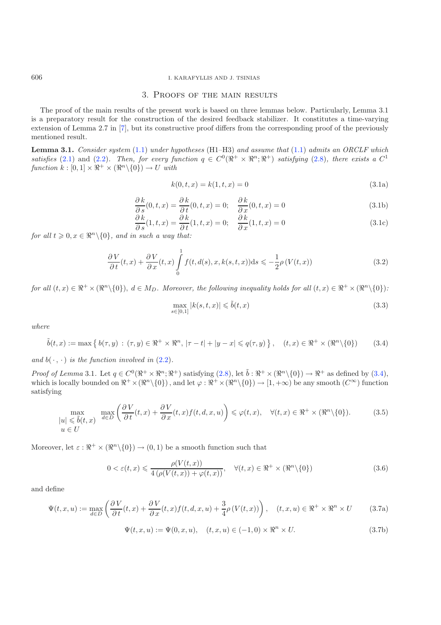## 606 I. KARAFYLLIS AND J. TSINIAS

### 3. Proofs of the main results

<span id="page-7-3"></span>The proof of the main results of the present work is based on three lemmas below. Particularly, Lemma 3.1 is a preparatory result for the construction of the desired feedback stabilizer. It constitutes a time-varying extension of Lemma 2.7 in [\[7](#page-26-3)], but its constructive proof differs from the corresponding proof of the previously mentioned result.

<span id="page-7-5"></span>**Lemma 3.1.** *Consider system* [\(1.1\)](#page-0-0) *under hypotheses* (H1–H3) *and assume that* [\(1.1\)](#page-0-0) *admits an ORCLF which satisfies* [\(2.1\)](#page-2-0) and [\(2.2\)](#page-3-0)*. Then, for every function*  $q \in C^0(\mathbb{R}^+ \times \mathbb{R}^n; \mathbb{R}^+)$  *satisfying* [\(2.8\)](#page-5-1)*, there exists a*  $C^1$  $function k : [0, 1] \times \mathbb{R}^+ \times (\mathbb{R}^n \setminus \{0\}) \to U$  with

$$
k(0, t, x) = k(1, t, x) = 0
$$
\n(3.1a)

<span id="page-7-4"></span>
$$
\frac{\partial k}{\partial s}(0, t, x) = \frac{\partial k}{\partial t}(0, t, x) = 0; \quad \frac{\partial k}{\partial x}(0, t, x) = 0
$$
\n(3.1b)

$$
\frac{\partial k}{\partial s}(1, t, x) = \frac{\partial k}{\partial t}(1, t, x) = 0; \quad \frac{\partial k}{\partial x}(1, t, x) = 0
$$
\n(3.1c)

<span id="page-7-0"></span>*for all*  $t \geq 0, x \in \mathbb{R}^n \setminus \{0\}$ *, and in such a way that:* 

$$
\frac{\partial V}{\partial t}(t,x) + \frac{\partial V}{\partial x}(t,x) \int_{0}^{1} f(t,d(s),x,k(s,t,x))ds \leq -\frac{1}{2}\rho(V(t,x))
$$
\n(3.2)

<span id="page-7-7"></span>*for all*  $(t, x) \in \mathbb{R}^+ \times (\mathbb{R}^n \setminus \{0\}), d \in M_D$ *. Moreover, the following inequality holds for all*  $(t, x) \in \mathbb{R}^+ \times (\mathbb{R}^n \setminus \{0\})$ *:* 

$$
\max_{s \in [0,1]} |k(s,t,x)| \le \tilde{b}(t,x) \tag{3.3}
$$

*where*

<span id="page-7-1"></span>
$$
\tilde{b}(t,x) := \max\left\{b(\tau,y) : (\tau,y) \in \Re^+ \times \Re^n, |\tau - t| + |y - x| \leqslant q(\tau,y)\right\}, \quad (t,x) \in \Re^+ \times (\Re^n \setminus \{0\})\tag{3.4}
$$

*and*  $b(\cdot, \cdot)$  *is the function involved in*  $(2.2)$ *.* 

<span id="page-7-6"></span>*Proof of Lemma* 3.1. Let  $q \in C^0(\mathbb{R}^+ \times \mathbb{R}^n; \mathbb{R}^+)$  satisfying  $(2.8)$ , let  $\tilde{b}: \mathbb{R}^+ \times (\mathbb{R}^n \setminus \{0\}) \to \mathbb{R}^+$  as defined by  $(3.4)$ , which is locally bounded on  $\mathbb{R}^+ \times (\mathbb{R}^n \setminus \{0\})$ , and let  $\varphi : \mathbb{R}^+ \times (\mathbb{R}^n \setminus \{0\}) \to [1, +\infty)$  be any smooth  $(C^{\infty})$  function satisfying

$$
\max_{\|u\| \leq \tilde{b}(t,x)} \max_{d \in D} \left( \frac{\partial V}{\partial t}(t,x) + \frac{\partial V}{\partial x}(t,x)f(t,d,x,u) \right) \leq \varphi(t,x), \quad \forall (t,x) \in \Re^{+} \times (\Re^{n} \setminus \{0\}).
$$
\n(3.5)\n
$$
u \in U
$$

Moreover, let  $\varepsilon : \mathbb{R}^+ \times (\mathbb{R}^n \setminus \{0\}) \to (0, 1)$  be a smooth function such that

$$
0 < \varepsilon(t, x) \leq \frac{\rho(V(t, x))}{4\left(\rho(V(t, x)) + \varphi(t, x)\right)}, \quad \forall (t, x) \in \Re^+ \times (\Re^n \setminus \{0\}) \tag{3.6}
$$

and define

$$
\Psi(t,x,u) := \max_{d \in D} \left( \frac{\partial V}{\partial t}(t,x) + \frac{\partial V}{\partial x}(t,x)f(t,d,x,u) + \frac{3}{4}\rho \left( V(t,x) \right) \right), \quad (t,x,u) \in \mathbb{R}^+ \times \mathbb{R}^n \times U \tag{3.7a}
$$

$$
\Psi(t, x, u) := \Psi(0, x, u), \quad (t, x, u) \in (-1, 0) \times \mathbb{R}^n \times U.
$$
\n(3.7b)

<span id="page-7-2"></span>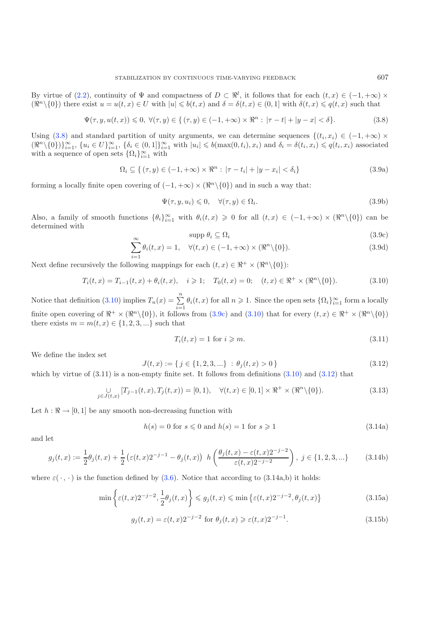<span id="page-8-7"></span><span id="page-8-0"></span>By virtue of [\(2.2\)](#page-3-0), continuity of  $\Psi$  and compactness of  $D \subset \mathbb{R}^l$ , it follows that for each  $(t, x) \in (-1, +\infty) \times$  $(\mathbb{R}^n \setminus \{0\})$  there exist  $u = u(t, x) \in U$  with  $|u| \leqslant b(t, x)$  and  $\delta = \delta(t, x) \in (0, 1]$  with  $\delta(t, x) \leqslant q(t, x)$  such that

<span id="page-8-8"></span><span id="page-8-6"></span>
$$
\Psi(\tau, y, u(t, x)) \leq 0, \ \forall (\tau, y) \in \{ (\tau, y) \in (-1, +\infty) \times \Re^n : |\tau - t| + |y - x| < \delta \}. \tag{3.8}
$$

Using [\(3.8\)](#page-8-0) and standard partition of unity arguments, we can determine sequences  $\{(t_i, x_i) \in (-1, +\infty) \times$  $(\Re^n \setminus \{0\})\}_{i=1}^{\infty}$ ,  $\{u_i \in U\}_{i=1}^{\infty}$ ,  $\{\delta_i \in (0,1]\}_{i=1}^{\infty}$  with  $|u_i| \leqslant b(\max(0,t_i),x_i)$  and  $\delta_i = \delta(t_i,x_i) \leqslant q(t_i,x_i)$  associated with a sequence of open sets  $\{\Omega_i\}_{i=1}^{\infty}$  with

<span id="page-8-2"></span>
$$
\Omega_i \subseteq \{ (\tau, y) \in (-1, +\infty) \times \Re^n : |\tau - t_i| + |y - x_i| < \delta_i \} \tag{3.9a}
$$

<span id="page-8-1"></span>forming a locally finite open covering of  $(-1, +\infty) \times (\mathbb{R}^n \setminus \{0\})$  and in such a way that:

$$
\Psi(\tau, y, u_i) \leq 0, \quad \forall (\tau, y) \in \Omega_i.
$$
\n(3.9b)

Also, a family of smooth functions  $\{\theta_i\}_{i=1}^{\infty}$  with  $\theta_i(t,x) \geq 0$  for all  $(t,x) \in (-1, +\infty) \times (\Re^n \setminus \{0\})$  can be determined with

$$
\text{supp } \theta_i \subseteq \Omega_i \tag{3.9c}
$$

$$
\sum_{i=1}^{\infty} \theta_i(t, x) = 1, \quad \forall (t, x) \in (-1, +\infty) \times (\mathbb{R}^n \setminus \{0\}).
$$
\n(3.9c)\n  
\n(3.9d)

<span id="page-8-4"></span>Next define recursively the following mappings for each  $(t, x) \in \mathbb{R}^+ \times (\mathbb{R}^n \setminus \{0\})$ :

<span id="page-8-3"></span>
$$
T_i(t, x) = T_{i-1}(t, x) + \theta_i(t, x), \quad i \geq 1; \quad T_0(t, x) = 0; \quad (t, x) \in \mathbb{R}^+ \times (\mathbb{R}^n \setminus \{0\}).
$$
 (3.10)

Notice that definition [\(3.10\)](#page-8-1) implies  $T_n(x) = \sum_{n=1}^{\infty}$  $\sum_{i=1} \theta_i(t, x)$  for all  $n \geq 1$ . Since the open sets  $\{\Omega_i\}_{i=1}^{\infty}$  form a locally finite open covering of  $\mathbb{R}^+ \times (\mathbb{R}^n \setminus \{0\})$ , it follows from  $(3.9c)$  and  $(3.10)$  that for every  $(t, x) \in \mathbb{R}^+ \times (\mathbb{R}^n \setminus \{0\})$ there exists  $m = m(t, x) \in \{1, 2, 3, ...\}$  such that

$$
T_i(t, x) = 1 \text{ for } i \geqslant m. \tag{3.11}
$$

We define the index set

$$
J(t,x) := \{ j \in \{1,2,3,...\} \; : \; \theta_j(t,x) > 0 \}
$$
\n
$$
(3.12)
$$

<span id="page-8-5"></span>which by virtue of  $(3.11)$  is a non-empty finite set. It follows from definitions  $(3.10)$  and  $(3.12)$  that

$$
\bigcup_{j \in J(t,x)} [T_{j-1}(t,x), T_j(t,x)) = [0,1), \quad \forall (t,x) \in [0,1] \times \Re^+ \times (\Re^n \setminus \{0\}).
$$
\n(3.13)

Let  $h : \mathbb{R} \to [0, 1]$  be any smooth non-decreasing function with

$$
h(s) = 0 \text{ for } s \leq 0 \text{ and } h(s) = 1 \text{ for } s \geq 1
$$
\n
$$
(3.14a)
$$

and let

$$
g_j(t,x) := \frac{1}{2}\theta_j(t,x) + \frac{1}{2}\left(\varepsilon(t,x)2^{-j-1} - \theta_j(t,x)\right) h\left(\frac{\theta_j(t,x) - \varepsilon(t,x)2^{-j-2}}{\varepsilon(t,x)2^{-j-2}}\right), \ j \in \{1,2,3,...\}
$$
(3.14b)

where  $\varepsilon(\cdot, \cdot)$  is the function defined by [\(3.6\)](#page-7-1). Notice that according to (3.14a,b) it holds:

$$
\min\left\{\varepsilon(t,x)2^{-j-2},\frac{1}{2}\theta_j(t,x)\right\} \le g_j(t,x) \le \min\left\{\varepsilon(t,x)2^{-j-2},\theta_j(t,x)\right\} \tag{3.15a}
$$

$$
g_j(t,x) = \varepsilon(t,x)2^{-j-2} \text{ for } \theta_j(t,x) \geqslant \varepsilon(t,x)2^{-j-1}.
$$
\n(3.15b)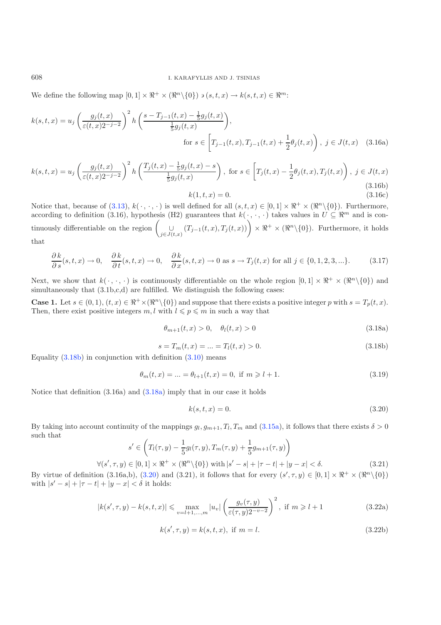We define the following map  $[0,1] \times \mathbb{R}^+ \times (\mathbb{R}^n \setminus \{0\}) \ni (s,t,x) \to k(s,t,x) \in \mathbb{R}^m$ :

$$
k(s,t,x) = u_j \left(\frac{g_j(t,x)}{\varepsilon(t,x)2^{-j-2}}\right)^2 h\left(\frac{s - T_{j-1}(t,x) - \frac{1}{5}g_j(t,x)}{\frac{1}{5}g_j(t,x)}\right),
$$
  
for  $s \in \left[T_{j-1}(t,x), T_{j-1}(t,x) + \frac{1}{2}\theta_j(t,x)\right), j \in J(t,x)$  (3.16a)

$$
k(s,t,x) = u_j \left(\frac{g_j(t,x)}{\varepsilon(t,x)2^{-j-2}}\right)^2 h\left(\frac{T_j(t,x) - \frac{1}{5}g_j(t,x) - s}{\frac{1}{5}g_j(t,x)}\right), \text{ for } s \in \left[T_j(t,x) - \frac{1}{2}\theta_j(t,x), T_j(t,x)\right), \ j \in J(t,x)
$$
\n
$$
(3.16b)
$$
\n
$$
k(1,t,x) = 0.
$$
\n
$$
(3.16c)
$$

Notice that, because of [\(3.13\)](#page-8-4),  $k(\cdot, \cdot, \cdot)$  is well defined for all  $(s, t, x) \in [0, 1] \times \mathbb{R}^+ \times (\mathbb{R}^n \setminus \{0\})$ . Furthermore, according to definition (3.16), hypothesis (H2) guarantees that  $k(\cdot, \cdot, \cdot)$  takes values in  $U \subseteq \mathbb{R}^m$  and is continuously differentiable on the region  $\left(\bigcup_{j\in J(t,x)} (T_{j-1}(t,x), T_j(t,x))\right) \times \Re^+ \times (\Re^n \setminus \{0\})$ . Furthermore, it holds that

<span id="page-9-1"></span><span id="page-9-0"></span>
$$
\frac{\partial k}{\partial s}(s,t,x) \to 0, \quad \frac{\partial k}{\partial t}(s,t,x) \to 0, \quad \frac{\partial k}{\partial x}(s,t,x) \to 0 \text{ as } s \to T_j(t,x) \text{ for all } j \in \{0,1,2,3,\ldots\}.
$$
 (3.17)

Next, we show that  $k(\cdot, \cdot, \cdot)$  is continuously differentiable on the whole region  $[0, 1] \times \mathbb{R}^+ \times (\mathbb{R}^n \setminus \{0\})$  and simultaneously that  $(3.1b,c,d)$  are fulfilled. We distinguish the following cases:

**Case 1.** Let  $s \in (0, 1)$ ,  $(t, x) \in \mathbb{R}^+ \times (\mathbb{R}^n \setminus \{0\})$  and suppose that there exists a positive integer p with  $s = T_p(t, x)$ . Then, there exist positive integers  $m, l$  with  $l \leqslant p \leqslant m$  in such a way that

<span id="page-9-2"></span>
$$
\theta_{m+1}(t,x) > 0, \quad \theta_l(t,x) > 0 \tag{3.18a}
$$

$$
s = T_m(t, x) = \dots = T_l(t, x) > 0. \tag{3.18b}
$$

Equality  $(3.18b)$  in conjunction with definition  $(3.10)$  means

$$
\theta_m(t, x) = \dots = \theta_{l+1}(t, x) = 0, \text{ if } m \ge l+1. \tag{3.19}
$$

Notice that definition (3.16a) and [\(3.18a\)](#page-9-1) imply that in our case it holds

$$
k(s, t, x) = 0.
$$
\n(3.20)

By taking into account continuity of the mappings  $q_l, q_{m+1}, T_l, T_m$  and  $(3.15a)$ , it follows that there exists  $\delta > 0$ such that

$$
s' \in \left(T_l(\tau, y) - \frac{1}{5}g_l(\tau, y), T_m(\tau, y) + \frac{1}{5}g_{m+1}(\tau, y)\right)
$$
  

$$
\forall (s', \tau, y) \in [0, 1] \times \mathbb{R}^+ \times (\mathbb{R}^n \setminus \{0\}) \text{ with } |s' - s| + |\tau - t| + |y - x| < \delta.
$$
 (3.21)

By virtue of definition (3.16a,b), [\(3.20\)](#page-9-2) and (3.21), it follows that for every  $(s', \tau, y) \in [0, 1] \times \mathbb{R}^+ \times (\mathbb{R}^n \setminus \{0\})$ with  $|s'-s|+|\tau-t|+|y-x|<\delta$  it holds:

$$
|k(s', \tau, y) - k(s, t, x)| \leq \max_{v = l+1, ..., m} |u_v| \left(\frac{g_v(\tau, y)}{\varepsilon(\tau, y)2^{-v-2}}\right)^2, \text{ if } m \geq l+1
$$
 (3.22a)

$$
k(s', \tau, y) = k(s, t, x), \text{ if } m = l. \tag{3.22b}
$$

<span id="page-9-3"></span>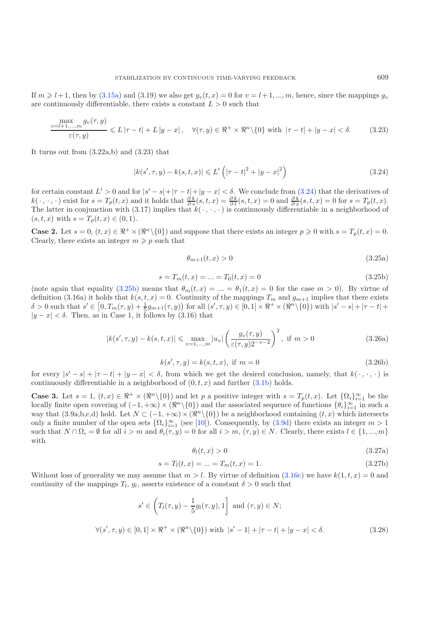<span id="page-10-0"></span>If  $m \geq l+1$ , then by [\(3.15a\)](#page-8-5) and (3.19) we also get  $g_v(t, x) = 0$  for  $v = l+1, ..., m$ , hence, since the mappings  $g_v$ are continuously differentiable, there exists a constant  $L > 0$  such that

$$
\frac{\max\limits_{v=l+1,...,m} g_v(\tau, y)}{\varepsilon(\tau, y)} \leqslant L|\tau - t| + L|y - x|, \quad \forall (\tau, y) \in \Re^+ \times \Re^n \setminus \{0\} \text{ with } |\tau - t| + |y - x| < \delta. \tag{3.23}
$$

It turns out from (3.22a,b) and (3.23) that

<span id="page-10-1"></span>
$$
|k(s', \tau, y) - k(s, t, x)| \le L' \left( |\tau - t|^2 + |y - x|^2 \right)
$$
\n(3.24)

for certain constant  $L' > 0$  and for  $|s' - s| + |r - t| + |y - x| < \delta$ . We conclude from  $(3.24)$  that the derivatives of  $k(\cdot,\cdot,\cdot)$  exist for  $s=T_p(t,x)$  and it holds that  $\frac{\partial k}{\partial s}(s,t,x)=\frac{\partial k}{\partial t}(s,t,x)=0$  and  $\frac{\partial k}{\partial x}(s,t,x)=0$  for  $s=T_p(t,x)$ . The latter in conjunction with (3.17) implies that  $k(\cdot, \cdot, \cdot)$  is continuously differentiable in a neighborhood of  $(s, t, x)$  with  $s = T_p(t, x) \in (0, 1)$ .

**Case 2.** Let  $s = 0$ ,  $(t, x) \in \mathbb{R}^+ \times (\mathbb{R}^n \setminus \{0\})$  and suppose that there exists an integer  $p \geq 0$  with  $s = T_p(t, x) = 0$ . Clearly, there exists an integer  $m \geqslant p$  such that

$$
\theta_{m+1}(t,x) > 0 \tag{3.25a}
$$

$$
s = T_m(t, x) = \dots = T_0(t, x) = 0 \tag{3.25b}
$$

(note again that equality [\(3.25b\)](#page-10-1) means that  $\theta_m(t,x) = ... = \theta_1(t,x) = 0$  for the case  $m > 0$ ). By virtue of definition (3.16a) it holds that  $k(s, t, x) = 0$ . Continuity of the mappings  $T_m$  and  $g_{m+1}$  implies that there exists  $\delta > 0$  such that  $s' \in [0, T_m(\tau, y) + \frac{1}{5}g_{m+1}(\tau, y))$  for all  $(s', \tau, y) \in [0, 1] \times \mathbb{R}^+ \times (\mathbb{R}^n \setminus \{0\})$  with  $|s' - s| + |\tau - t| +$  $|y - x| < \delta$ . Then, as in Case 1, it follows by (3.16) that

$$
|k(s', \tau, y) - k(s, t, x)| \le \max_{v=1,\dots,m} |u_v| \left(\frac{g_v(\tau, y)}{\varepsilon(\tau, y)2^{-v-2}}\right)^2, \text{ if } m > 0
$$
\n(3.26a)

$$
k(s', \tau, y) = k(s, t, x), \text{ if } m = 0 \tag{3.26b}
$$

for every  $|s'-s| + |\tau - t| + |y-x| < \delta$ , from which we get the desired conclusion, namely, that  $k(\cdot, \cdot, \cdot)$  is continuously differentiable in a neighborhood of  $(0, t, x)$  and further  $(3.1b)$  holds.

**Case 3.** Let  $s = 1$ ,  $(t, x) \in \mathbb{R}^+ \times (\mathbb{R}^n \setminus \{0\})$  and let p a positive integer with  $s = T_p(t, x)$ . Let  $\{\Omega_i\}_{i=1}^{\infty}$  be the locally finite open covering of  $(-1, +\infty) \times (\Re^n \setminus \{0\})$  and the associated sequence of functions  $\{\theta_i\}_{i=1}^{\infty}$  in such a way that  $(3.9a,b,c,d)$  hold. Let  $N \subset (-1,+\infty) \times (\Re^n \setminus \{0\})$  be a neighborhood containing  $(t, x)$  which intersects only a finite number of the open sets  $\{\Omega_i\}_{i=1}^{\infty}$  (see [\[10](#page-26-18)]). Consequently, by  $(3.9d)$  there exists an integer  $m > 1$ such that  $N \cap \Omega_i = \emptyset$  for all  $i>m$  and  $\theta_i(\tau, y) = 0$  for all  $i>m$ ,  $(\tau, y) \in N$ . Clearly, there exists  $l \in \{1, ..., m\}$ with

$$
\theta_l(t, x) > 0 \tag{3.27a}
$$

$$
s = T_l(t, x) = \dots = T_m(t, x) = 1.
$$
\n(3.27b)

Without loss of generality we may assume that  $m>l$ . By virtue of definition [\(3.16c\)](#page-9-3) we have  $k(1, t, x) = 0$  and continuity of the mappings  $T_l$ ,  $g_l$ , asserts existence of a constant  $\delta > 0$  such that

$$
s' \in \left(T_l(\tau, y) - \frac{1}{5}g_l(\tau, y), 1\right] \text{ and } (\tau, y) \in N;
$$
  

$$
\forall (s', \tau, y) \in [0, 1] \times \mathbb{R}^+ \times (\mathbb{R}^n \setminus \{0\}) \text{ with } |s' - 1| + |\tau - t| + |y - x| < \delta.
$$
 (3.28)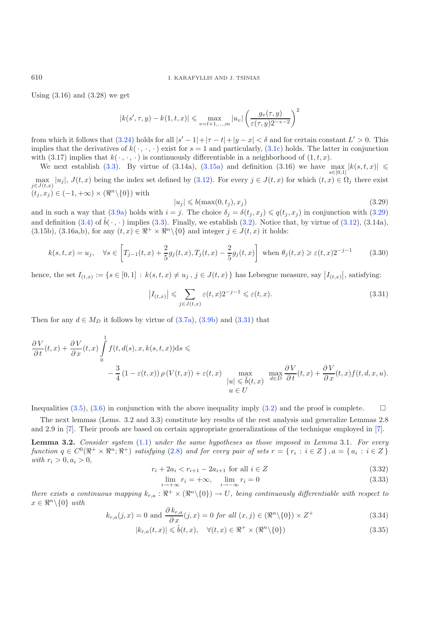## 610 I. KARAFYLLIS AND J. TSINIAS

Using  $(3.16)$  and  $(3.28)$  we get

<span id="page-11-0"></span>
$$
|k(s', \tau, y) - k(1, t, x)| \le \max_{v = l+1, ..., m} |u_v| \left(\frac{g_v(\tau, y)}{\varepsilon(\tau, y)2^{-v-2}}\right)^2
$$

from which it follows that  $(3.24)$  holds for all  $|s'-1|+|\tau-t|+|y-x|<\delta$  and for certain constant  $L'>0$ . This implies that the derivatives of  $k(\cdot, \cdot, \cdot)$  exist for  $s = 1$  and particularly,  $(3.1c)$  holds. The latter in conjunction with (3.17) implies that  $k(\cdot, \cdot, \cdot)$  is continuously differentiable in a neighborhood of  $(1, t, x)$ .

<span id="page-11-1"></span>We next establish [\(3.3\)](#page-7-4). By virtue of (3.14a), [\(3.15a\)](#page-8-5) and definition (3.16) we have  $\max_{s\in[0,1]}|k(s,t,x)| \leq$  $\max_{j\in J(t,x)} |u_j|, J(t,x)$  being the index set defined by [\(3.12\)](#page-8-3). For every  $j \in J(t,x)$  for which  $(t,x) \in \Omega_j$  there exist  $j \in J(t,x)$  $(t_i, x_j) \in (-1, +\infty) \times (\Re^n \setminus \{0\})$  with

$$
|u_j| \leqslant b(\max(0, t_j), x_j)
$$
\n<sup>(3.29)</sup>

and in such a way that [\(3.9a\)](#page-8-7) holds with  $i = j$ . The choice  $\delta_j = \delta(t_j, x_j) \leq q(t_j, x_j)$  in conjunction with [\(3.29\)](#page-11-0) and definition [\(3.4\)](#page-7-0) of  $\tilde{b}(\cdot, \cdot)$  implies [\(3.3\)](#page-7-4). Finally, we establish [\(3.2\)](#page-7-5). Notice that, by virtue of [\(3.12\)](#page-8-3), (3.14a), (3.15b), (3.16a,b), for any  $(t, x) \in \mathbb{R}^+ \times \mathbb{R}^n \setminus \{0\}$  and integer  $j \in J(t, x)$  it holds:

$$
k(s,t,x) = u_j, \quad \forall s \in \left[ T_{j-1}(t,x) + \frac{2}{5} g_j(t,x), T_j(t,x) - \frac{2}{5} g_j(t,x) \right] \text{ when } \theta_j(t,x) \ge \varepsilon(t,x) 2^{-j-1}
$$
(3.30)

hence, the set  $I_{(t,x)} := \{ s \in [0,1] : k(s,t,x) \neq u_j, j \in J(t,x) \}$  has Lebesgue measure, say  $|I_{(t,x)}|$ , satisfying:

$$
|I_{(t,x)}| \leqslant \sum_{j \in J(t,x)} \varepsilon(t,x) 2^{-j-1} \leqslant \varepsilon(t,x). \tag{3.31}
$$

Then for any  $d \in M_D$  it follows by virtue of  $(3.7a)$ ,  $(3.9b)$  and  $(3.31)$  that

$$
\frac{\partial V}{\partial t}(t,x) + \frac{\partial V}{\partial x}(t,x) \int_{0}^{1} f(t,d(s),x,k(s,t,x))ds \le \n-\frac{3}{4} \left(1 - \varepsilon(t,x)\right) \rho\left(V(t,x)\right) + \varepsilon(t,x) \quad \max_{\substack{|u| \le \tilde{b}(t,x) \\ u \in U}} \max_{d \in D} \frac{\partial V}{\partial t}(t,x) + \frac{\partial V}{\partial x}(t,x)f(t,d,x,u).
$$

Inequalities [\(3.5\)](#page-7-7), [\(3.6\)](#page-7-1) in conjunction with the above inequality imply [\(3.2\)](#page-7-5) and the proof is complete.  $\square$ 

<span id="page-11-2"></span>The next lemmas (Lems. 3.2 and 3.3) constitute key results of the rest analysis and generalize Lemmas 2.8 and 2.9 in [\[7\]](#page-26-3). Their proofs are based on certain appropriate generalizations of the technique employed in [\[7](#page-26-3)].

**Lemma 3.2.** *Consider system* [\(1.1\)](#page-0-0) *under the same hypotheses as those imposed in Lemma* 3.1*. For every function*  $q \in C^0(\mathbb{R}^+ \times \mathbb{R}^n; \mathbb{R}^+)$  *satisfying* [\(2.8\)](#page-5-1) and for every pair of sets  $r = \{r_i : i \in \mathbb{Z}\}\$ ,  $a = \{a_i : i \in \mathbb{Z}\}\$ *with*  $r_i > 0, a_i > 0$ ,

$$
r_i + 2a_i < r_{i+1} - 2a_{i+1} \text{ for all } i \in \mathbb{Z} \tag{3.32}
$$

$$
\lim_{i \to +\infty} r_i = +\infty, \quad \lim_{i \to -\infty} r_i = 0 \tag{3.33}
$$

*there exists a continuous mapping*  $k_{r,a} : \mathbb{R}^+ \times (\mathbb{R}^n \setminus \{0\}) \to U$ , being continuously differentiable with respect to  $x \in \mathbb{R}^n \backslash \{0\}$  *with* 

$$
k_{r,a}(j,x) = 0 \text{ and } \frac{\partial k_{r,a}}{\partial x}(j,x) = 0 \text{ for all } (x,j) \in (\Re^n \setminus \{0\}) \times Z^+ \tag{3.34}
$$

$$
|k_{r,a}(t,x)| \leq \tilde{b}(t,x), \quad \forall (t,x) \in \Re^+ \times (\Re^n \setminus \{0\})
$$
\n(3.35)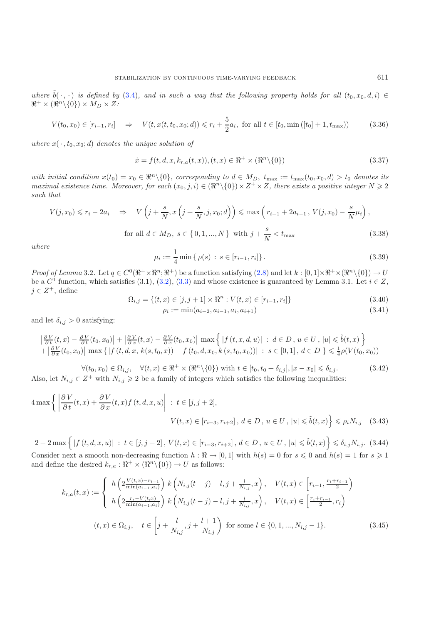<span id="page-12-2"></span>*where*  $\tilde{b}(\cdot, \cdot)$  *is defined by* [\(3.4\)](#page-7-0)*, and in such a way that the following property holds for all*  $(t_0, x_0, d, i) \in$  $\Re^+ \times (\Re^n \setminus \{0\}) \times M_D \times Z$ :

$$
V(t_0, x_0) \in [r_{i-1}, r_i] \quad \Rightarrow \quad V(t, x(t, t_0, x_0; d)) \leq r_i + \frac{5}{2} a_i, \text{ for all } t \in [t_0, \min([t_0] + 1, t_{\max})). \tag{3.36}
$$

where  $x(\cdot, t_0, x_0; d)$  *denotes the unique solution of* 

<span id="page-12-3"></span><span id="page-12-1"></span>
$$
\dot{x} = f(t, d, x, k_{r,a}(t, x)), (t, x) \in \mathbb{R}^+ \times (\mathbb{R}^n \setminus \{0\})
$$
\n(3.37)

*with initial condition*  $x(t_0) = x_0 \in \mathbb{R}^n \setminus \{0\}$ , corresponding to  $d \in M_D$ ,  $t_{\text{max}} := t_{\text{max}}(t_0, x_0, d) > t_0$  denotes its *maximal existence time. Moreover, for each*  $(x_0, j, i) \in (\Re^n \setminus \{0\}) \times Z^+ \times Z$ , there exists a positive integer  $N \geq 2$ *such that*

$$
V(j, x_0) \le r_i - 2a_i \quad \Rightarrow \quad V\left(j + \frac{s}{N}, x\left(j + \frac{s}{N}, j, x_0; d\right)\right) \le \max\left(r_{i-1} + 2a_{i-1}, V(j, x_0) - \frac{s}{N}\mu_i\right),
$$
  
for all  $d \in M_D$ ,  $s \in \{0, 1, ..., N\}$  with  $j + \frac{s}{N} < t_{\text{max}}$  (3.38)

*where*

$$
\mu_i := \frac{1}{4} \min \{ \rho(s) : s \in [r_{i-1}, r_i] \}.
$$
\n(3.39)

*Proof of Lemma* 3.2*.* Let  $q \in C^0(\mathbb{R}^+ \times \mathbb{R}^n; \mathbb{R}^+)$  be a function satisfying  $(2.8)$  and let  $k : [0, 1] \times \mathbb{R}^+ \times (\mathbb{R}^n \setminus \{0\}) \to U$ be a  $C^1$  function, which satisfies (3.1), [\(3.2\)](#page-7-5), [\(3.3\)](#page-7-4) and whose existence is guaranteed by Lemma 3.1. Let  $i \in Z$ ,  $j \in Z^+$ , define

$$
\Omega_{i,j} = \{(t,x) \in [j,j+1] \times \mathbb{R}^n : V(t,x) \in [r_{i-1},r_i]\}
$$
\n(3.40)

$$
\rho_i := \min(a_{i-2}, a_{i-1}, a_i, a_{i+1}) \tag{3.41}
$$

<span id="page-12-0"></span>and let  $\delta_{i,j} > 0$  satisfying:

$$
\left|\frac{\partial V}{\partial t}(t,x) - \frac{\partial V}{\partial t}(t_0,x_0)\right| + \left|\frac{\partial V}{\partial x}(t,x) - \frac{\partial V}{\partial x}(t_0,x_0)\right| \max\left\{|f(t,x,d,u)| : d \in D, u \in U, |u| \le \tilde{b}(t,x)\right\} + \left|\frac{\partial V}{\partial x}(t_0,x_0)\right| \max\left\{|f(t,d,x,k(s,t_0,x)) - f(t_0,d,x_0,k(s,t_0,x_0))| : s \in [0,1], d \in D\right\} \le \frac{1}{4}\rho(V(t_0,x_0))
$$

 $\forall (t_0, x_0) \in \Omega_{i,j}, \quad \forall (t, x) \in \mathbb{R}^+ \times (\mathbb{R}^n \setminus \{0\}) \text{ with } t \in [t_0, t_0 + \delta_{i,j}], |x - x_0| \leq \delta_{i,j}.$  (3.42) Also, let  $N_{i,j} \in \mathbb{Z}^+$  with  $N_{i,j} \geq 2$  be a family of integers which satisfies the following inequalities:

$$
4\max\left\{\left|\frac{\partial V}{\partial t}(t,x) + \frac{\partial V}{\partial x}(t,x)f(t,d,x,u)\right| \ : \ t \in [j,j+2],
$$

$$
V(t,x) \in [r_{i-3}, r_{i+2}], \ d \in D, \ u \in U, \ |u| \leq \tilde{b}(t,x)\right\} \leq \rho_i N_{i,j} \quad (3.43)
$$

 $2 + 2 \max \Big\{ |f(t, d, x, u)| : t \in [j, j + 2], V(t, x) \in [r_{i-3}, r_{i+2}], d \in D, u \in U, |u| \leq \tilde{b}(t, x) \Big\} \leq \delta_{i,j} N_{i,j}$ . (3.44) Consider next a smooth non-decreasing function  $h : \mathbb{R} \to [0,1]$  with  $h(s) = 0$  for  $s \leq 0$  and  $h(s) = 1$  for  $s \geq 1$ 

and define the desired  $k_{r,a} : \mathbb{R}^+ \times (\mathbb{R}^n \setminus \{0\}) \to U$  as follows:

$$
k_{r,a}(t,x) := \begin{cases} h\left(2\frac{V(t,x)-r_{i-1}}{\min(a_{i-1},a_i)}\right) k\left(N_{i,j}(t-j)-l,j+\frac{l}{N_{i,j}},x\right), & V(t,x) \in \left[r_{i-1},\frac{r_i+r_{i-1}}{2}\right) \\ h\left(2\frac{r_i-V(t,x)}{\min(a_{i-1},a_i)}\right) k\left(N_{i,j}(t-j)-l,j+\frac{l}{N_{i,j}},x\right), & V(t,x) \in \left[\frac{r_i+r_{i-1}}{2},r_i\right) \end{cases}
$$
  

$$
(t,x) \in \Omega_{i,j}, \quad t \in \left[j+\frac{l}{N_{i,j}}, j+\frac{l+1}{N_{i,j}}\right) \text{ for some } l \in \{0,1,...,N_{i,j}-1\}.
$$
 (3.45)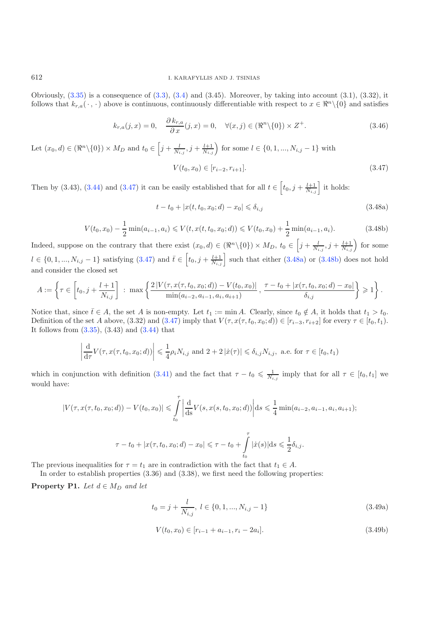<span id="page-13-2"></span>Obviously,  $(3.35)$  is a consequence of  $(3.3)$ ,  $(3.4)$  and  $(3.45)$ . Moreover, by taking into account  $(3.1)$ ,  $(3.32)$ , it follows that  $k_{r,a}(\cdot, \cdot)$  above is continuous, continuously differentiable with respect to  $x \in \mathbb{R}^n \setminus \{0\}$  and satisfies

<span id="page-13-1"></span><span id="page-13-0"></span>
$$
k_{r,a}(j,x) = 0, \quad \frac{\partial k_{r,a}}{\partial x}(j,x) = 0, \quad \forall (x,j) \in (\Re^n \setminus \{0\}) \times Z^+.
$$
 (3.46)

Let  $(x_0, d) \in (\Re^n \setminus \{0\}) \times M_D$  and  $t_0 \in \left[j + \frac{l}{N_{i,j}}, j + \frac{l+1}{N_{i,j}}\right)$  for some  $l \in \{0, 1, ..., N_{i,j} - 1\}$  with

$$
V(t_0, x_0) \in [r_{i-2}, r_{i+1}]. \tag{3.47}
$$

Then by (3.43), [\(3.44\)](#page-12-0) and [\(3.47\)](#page-13-0) it can be easily established that for all  $t \in \left[t_0, j + \frac{l+1}{N_{i,j}}\right]$  it holds:

$$
t - t_0 + |x(t, t_0, x_0; d) - x_0| \leq \delta_{i,j}
$$
\n(3.48a)

$$
V(t_0, x_0) - \frac{1}{2} \min(a_{i-1}, a_i) \le V(t, x(t, t_0, x_0; d)) \le V(t_0, x_0) + \frac{1}{2} \min(a_{i-1}, a_i).
$$
 (3.48b)

Indeed, suppose on the contrary that there exist  $(x_0, d) \in (\Re^n \setminus \{0\}) \times M_D$ ,  $t_0 \in \left[j + \frac{l}{N_{i,j}}, j + \frac{l+1}{N_{i,j}}\right)$  for some  $l \in \{0, 1, ..., N_{i,j} - 1\}$  satisfying  $(3.47)$  and  $\overline{t} \in \left[t_0, j + \frac{l+1}{N_{i,j}}\right]$  such that either  $(3.48a)$  or  $(3.48b)$  does not hold and consider the closed set

$$
A := \left\{ \tau \in \left[ t_0, j + \frac{l+1}{N_{i,j}} \right] : \max \left\{ \frac{2 \left| V(\tau, x(\tau, t_0, x_0; d)) - V(t_0, x_0) \right|}{\min(a_{i-2}, a_{i-1}, a_i, a_{i+1})}, \frac{\tau - t_0 + |x(\tau, t_0, x_0; d) - x_0|}{\delta_{i,j}} \right\} \geqslant 1 \right\}.
$$

Notice that, since  $\bar{t} \in A$ , the set A is non-empty. Let  $t_1 := \min A$ . Clearly, since  $t_0 \notin A$ , it holds that  $t_1 > t_0$ . Definition of the set A above, (3.32) and [\(3.47\)](#page-13-0) imply that  $V(\tau, x(\tau, t_0, x_0; d)) \in [r_{i-3}, r_{i+2}]$  for every  $\tau \in [t_0, t_1)$ . It follows from  $(3.35)$ ,  $(3.43)$  and  $(3.44)$  that

$$
\left| \frac{\mathrm{d}}{\mathrm{d}\tau} V(\tau, x(\tau, t_0, x_0; d)) \right| \leq \frac{1}{4} \rho_i N_{i,j} \text{ and } 2 + 2 |\dot{x}(\tau)| \leq \delta_{i,j} N_{i,j}, \text{ a.e. for } \tau \in [t_0, t_1)
$$

which in conjunction with definition [\(3.41\)](#page-12-1) and the fact that  $\tau - t_0 \leq \frac{1}{N_{i,j}}$  imply that for all  $\tau \in [t_0, t_1]$  we would have:

<span id="page-13-3"></span>
$$
|V(\tau, x(\tau, t_0, x_0; d)) - V(t_0, x_0)| \leq \int_{t_0}^{\tau} \left| \frac{d}{ds} V(s, x(s, t_0, x_0; d)) \right| ds \leq \frac{1}{4} \min(a_{i-2}, a_{i-1}, a_i, a_{i+1});
$$
  

$$
\tau - t_0 + |x(\tau, t_0, x_0; d) - x_0| \leq \tau - t_0 + \int_{t_0}^{\tau} |x(s)| ds \leq \frac{1}{2} \delta_{i,j}.
$$

The previous inequalities for  $\tau = t_1$  are in contradiction with the fact that  $t_1 \in A$ .

In order to establish properties  $(3.36)$  and  $(3.38)$ , we first need the following properties:

**Property P1.** *Let*  $d \in M_D$  *and let* 

$$
t_0 = j + \frac{l}{N_{i,j}}, \ l \in \{0, 1, ..., N_{i,j} - 1\}
$$
\n(3.49a)

$$
V(t_0, x_0) \in [r_{i-1} + a_{i-1}, r_i - 2a_i].
$$
\n(3.49b)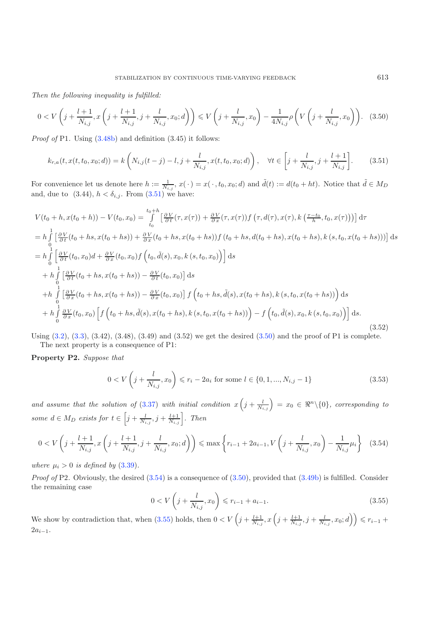<span id="page-14-1"></span><span id="page-14-0"></span>*Then the following inequality is fulfilled:*

$$
0 < V\left(j + \frac{l+1}{N_{i,j}}, x\left(j + \frac{l+1}{N_{i,j}}, j + \frac{l}{N_{i,j}}, x_0; d\right)\right) \leq V\left(j + \frac{l}{N_{i,j}}, x_0\right) - \frac{1}{4N_{i,j}}\rho\left(V\left(j + \frac{l}{N_{i,j}}, x_0\right)\right). \tag{3.50}
$$

*Proof of* P1. Using  $(3.48b)$  and definition  $(3.45)$  it follows:

$$
k_{r,a}(t, x(t, t_0, x_0; d)) = k\left(N_{i,j}(t-j) - l, j + \frac{l}{N_{i,j}}, x(t, t_0, x_0; d)\right), \quad \forall t \in \left[j + \frac{l}{N_{i,j}}, j + \frac{l+1}{N_{i,j}}\right].\tag{3.51}
$$

For convenience let us denote here  $h := \frac{1}{N_{i,j}}$ ,  $x(\cdot) = x(\cdot, t_0, x_0; d)$  and  $\tilde{d}(t) := d(t_0 + ht)$ . Notice that  $\tilde{d} \in M_D$ and, due to  $(3.44)$ ,  $h < \delta_{i,j}$ . From  $(3.51)$  we have:

$$
V(t_0 + h, x(t_0 + h)) - V(t_0, x_0) = \int_{t_0}^{t_0 + h} \left[ \frac{\partial V}{\partial t}(\tau, x(\tau)) + \frac{\partial V}{\partial x}(\tau, x(\tau)) f(\tau, d(\tau), x(\tau), k(\frac{\tau - t_0}{h}, t_0, x(\tau))) \right] d\tau
$$
  
\n
$$
= h \int_{0}^{1} \left[ \frac{\partial V}{\partial t}(t_0 + hs, x(t_0 + hs)) + \frac{\partial V}{\partial x}(t_0 + hs, x(t_0 + hs)) f(t_0 + hs, d(t_0 + hs), x(t_0 + hs), k(s, t_0, x(t_0 + hs))) \right] ds
$$
  
\n
$$
= h \int_{0}^{1} \left[ \frac{\partial V}{\partial t}(t_0, x_0) d + \frac{\partial V}{\partial x}(t_0, x_0) f(t_0, \tilde{d}(s), x_0, k(s, t_0, x_0)) \right] ds
$$
  
\n
$$
+ h \int_{0}^{1} \left[ \frac{\partial V}{\partial t}(t_0 + hs, x(t_0 + hs)) - \frac{\partial V}{\partial t}(t_0, x_0) \right] ds
$$
  
\n
$$
+ h \int_{0}^{1} \left[ \frac{\partial V}{\partial x}(t_0 + hs, x(t_0 + hs)) - \frac{\partial V}{\partial x}(t_0, x_0) \right] f(t_0 + hs, \tilde{d}(s), x(t_0 + hs), k(s, t_0, x(t_0 + hs)) \right) ds
$$
  
\n
$$
+ h \int_{0}^{1} \frac{\partial V}{\partial x}(t_0, x_0) \left[ f(t_0 + hs, \tilde{d}(s), x(t_0 + hs), k(s, t_0, x(t_0 + hs)) \right) - f(t_0, \tilde{d}(s), x_0, k(s, t_0, x_0)) \right] ds.
$$
  
\n(3.52)

<span id="page-14-2"></span>Using  $(3.2)$ ,  $(3.3)$ ,  $(3.42)$ ,  $(3.48)$ ,  $(3.49)$  and  $(3.52)$  we get the desired  $(3.50)$  and the proof of P1 is complete. The next property is a consequence of P1:

**Property P2.** *Suppose that*

<span id="page-14-3"></span>
$$
0 < V\left(j + \frac{l}{N_{i,j}}, x_0\right) \leqslant r_i - 2a_i \text{ for some } l \in \{0, 1, \dots, N_{i,j} - 1\} \tag{3.53}
$$

and assume that the solution of [\(3.37\)](#page-12-2) with initial condition  $x\left(j+\frac{l}{N_{i,j}}\right) = x_0 \in \Re^n \setminus \{0\}$ , corresponding to *some*  $d \in M_D$  *exists for*  $t \in \left[j + \frac{l}{N_{i,j}}, j + \frac{l+1}{N_{i,j}}\right]$ . Then

$$
0 < V\left(j + \frac{l+1}{N_{i,j}}, x\left(j + \frac{l+1}{N_{i,j}}, j + \frac{l}{N_{i,j}}, x_0; d\right)\right) \leq \max\left\{r_{i-1} + 2a_{i-1}, V\left(j + \frac{l}{N_{i,j}}, x_0\right) - \frac{1}{N_{i,j}}\mu_i\right\} \tag{3.54}
$$

*where*  $\mu_i > 0$  *is defined by* [\(3.39\)](#page-12-3).

*Proof of* P2. Obviously, the desired  $(3.54)$  is a consequence of  $(3.50)$ , provided that  $(3.49b)$  is fulfilled. Consider the remaining case

$$
0 < V\left(j + \frac{l}{N_{i,j}}, x_0\right) \leqslant r_{i-1} + a_{i-1}.\tag{3.55}
$$

We show by contradiction that, when  $(3.55)$  holds, then  $0 < V\left(j + \frac{l+1}{N_{i,j}}x\left(j + \frac{l+1}{N_{i,j}}, j + \frac{l}{N_{i,j}}x_{0}; d\right)\right) \leqslant r_{i-1} +$  $2a_{i-1}$ .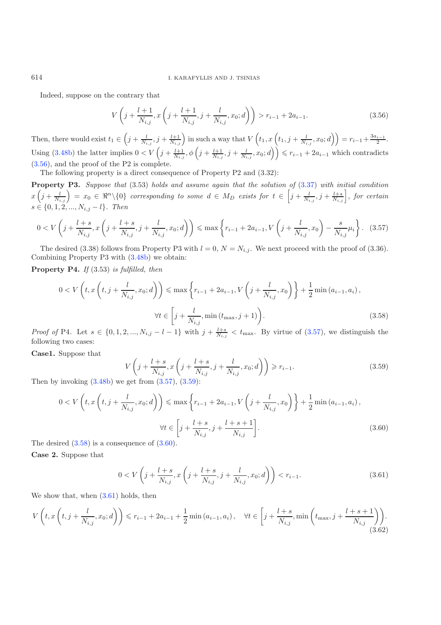# <span id="page-15-0"></span>614 I. KARAFYLLIS AND J. TSINIAS

Indeed, suppose on the contrary that

$$
V\left(j+\frac{l+1}{N_{i,j}},x\left(j+\frac{l+1}{N_{i,j}},j+\frac{l}{N_{i,j}},x_0;d\right)\right) > r_{i-1} + 2a_{i-1}.
$$
\n(3.56)

<span id="page-15-1"></span>Then, there would exist  $t_1 \in \left( j + \frac{l}{N_{i,j}} , j + \frac{l+1}{N_{i,j}} \right)$  in such a way that  $V\left(t_1, x\left(t_1, j + \frac{l}{N_{i,j}} , x_0; d\right) \right) = r_{i-1} + \frac{3a_{i-1}}{2}$ . Using  $(3.48b)$  the latter implies  $0 < V\left(j + \frac{l+1}{N_{i,j}}, \phi\left(j + \frac{l+1}{N_{i,j}}, j + \frac{l}{N_{i,j}}, x_0; d\right)\right) \leqslant r_{i-1} + 2a_{i-1}$  which contradicts [\(3.56\)](#page-15-0), and the proof of the P2 is complete.

The following property is a direct consequence of Property P2 and (3.32):

**Property P3.** *Suppose that* (3.53) *holds and assume again that the solution of* [\(3.37\)](#page-12-2) *with initial condition*  $x\left(j+\frac{l}{N_{i,j}}\right) = x_0 \in \Re^n\backslash\{0\}$  corresponding to some  $d \in M_D$  exists for  $t \in \left[j+\frac{l}{N_{i,j}}, j+\frac{l+s}{N_{i,j}}\right]$ , for certain  $s \in \{0, 1, 2, ..., N_{i,j} - l\}$ *. Then* 

<span id="page-15-3"></span>
$$
0 < V\left(j + \frac{l+s}{N_{i,j}}, x\left(j + \frac{l+s}{N_{i,j}}, j + \frac{l}{N_{i,j}}, x_0; d\right)\right) \leq \max\left\{r_{i-1} + 2a_{i-1}, V\left(j + \frac{l}{N_{i,j}}, x_0\right) - \frac{s}{N_{i,j}}\mu_i\right\}.\tag{3.57}
$$

The desired (3.38) follows from Property P3 with  $l = 0$ ,  $N = N_{i,j}$ . We next proceed with the proof of (3.36). Combining Property P3 with [\(3.48b\)](#page-13-2) we obtain:

**Property P4.** *If* (3.53) *is fulfilled, then*

<span id="page-15-2"></span>
$$
0 < V\left(t, x\left(t, j + \frac{l}{N_{i,j}}, x_0; d\right)\right) \leq \max\left\{r_{i-1} + 2a_{i-1}, V\left(j + \frac{l}{N_{i,j}}, x_0\right)\right\} + \frac{1}{2}\min\left(a_{i-1}, a_i\right),
$$
\n
$$
\forall t \in \left[j + \frac{l}{N_{i,j}}, \min\left(t_{\max}, j + 1\right)\right].\tag{3.58}
$$

*Proof of* P4. Let  $s \in \{0, 1, 2, ..., N_{i,j} - l - 1\}$  with  $j + \frac{l+s}{N_{i,j}} < t_{\text{max}}$ . By virtue of  $(3.57)$ , we distinguish the following two cases:

**Case1.** Suppose that

<span id="page-15-4"></span>
$$
V\left(j + \frac{l+s}{N_{i,j}}, x\left(j + \frac{l+s}{N_{i,j}}, j + \frac{l}{N_{i,j}}, x_0; d\right)\right) \ge r_{i-1}.
$$
\n
$$
\text{Set from (3.57), (3.59)}.
$$
\n(3.59)

<span id="page-15-6"></span>Then by invoking  $(3.48b)$  we get from  $(3.57), (3.59)$  $(3.57), (3.59)$  $(3.57), (3.59)$ :

<span id="page-15-5"></span>
$$
0 < V\left(t, x\left(t, j + \frac{l}{N_{i,j}}, x_0; d\right)\right) \leq \max\left\{r_{i-1} + 2a_{i-1}, V\left(j + \frac{l}{N_{i,j}}, x_0\right)\right\} + \frac{1}{2}\min\left(a_{i-1}, a_i\right),
$$
\n
$$
\forall t \in \left[j + \frac{l+s}{N_{i,j}}, j + \frac{l+s+1}{N_{i,j}}\right].\tag{3.60}
$$

The desired [\(3.58\)](#page-15-3) is a consequence of [\(3.60\)](#page-15-4).

**Case 2.** Suppose that

$$
0 < V\left(j + \frac{l+s}{N_{i,j}}, x\left(j + \frac{l+s}{N_{i,j}}, j + \frac{l}{N_{i,j}}, x_0; d\right)\right) < r_{i-1}.\tag{3.61}
$$

We show that, when  $(3.61)$  holds, then

$$
V\left(t, x\left(t, j+\frac{l}{N_{i,j}}, x_0; d\right)\right) \leqslant r_{i-1} + 2a_{i-1} + \frac{1}{2}\min\left(a_{i-1}, a_i\right), \quad \forall t \in \left[j+\frac{l+s}{N_{i,j}}, \min\left(t_{\max}, j+\frac{l+s+1}{N_{i,j}}\right)\right). \tag{3.62}
$$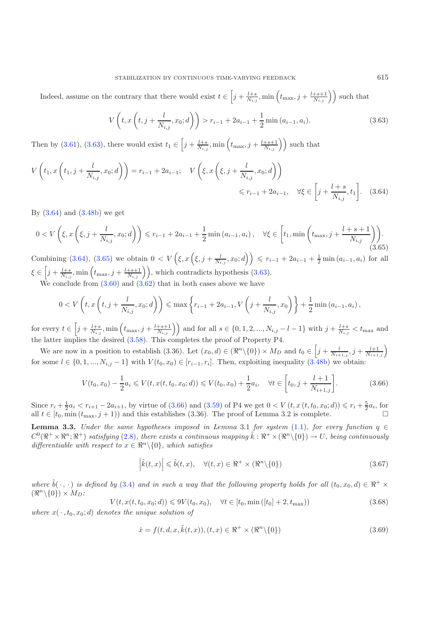<span id="page-16-0"></span>Indeed, assume on the contrary that there would exist  $t \in \left[j + \frac{l+s}{N_{i,j}} \right]$ , min $\left(t_{\text{max}}, j + \frac{l+s+1}{N_{i,j}}\right)$  such that

$$
V\left(t, x\left(t, j + \frac{l}{N_{i,j}}, x_0; d\right)\right) > r_{i-1} + 2a_{i-1} + \frac{1}{2}\min\left(a_{i-1}, a_i\right). \tag{3.63}
$$

<span id="page-16-2"></span>Then by [\(3.61\)](#page-15-5), [\(3.63\)](#page-16-0), there would exist  $t_1 \in \left[j + \frac{l+s}{N_{i,j}}\right]$ , min  $\left(t_{\text{max}}, j + \frac{l+s+1}{N_{i,j}}\right)$  such that

$$
V\left(t_1, x\left(t_1, j+\frac{l}{N_{i,j}}, x_0; d\right)\right) = r_{i-1} + 2a_{i-1}; \quad V\left(\xi, x\left(\xi, j+\frac{l}{N_{i,j}}, x_0; d\right)\right) \le r_{i-1} + 2a_{i-1}, \quad \forall \xi \in \left[j+\frac{l+s}{N_{i,j}}, t_1\right].
$$
 (3.64)

By  $(3.64)$  and  $(3.48b)$  we get

$$
0 < V\left(\xi, x\left(\xi, j + \frac{l}{N_{i,j}}, x_0; d\right)\right) \leqslant r_{i-1} + 2a_{i-1} + \frac{1}{2}\min\left(a_{i-1}, a_i\right), \quad \forall \xi \in \left[t_1, \min\left(t_{\max}, j + \frac{l+s+1}{N_{i,j}}\right)\right). \tag{3.65}
$$

Combining [\(3.64\)](#page-16-1), [\(3.65\)](#page-16-2) we obtain  $0 < V(\xi, x(\xi, j + \frac{l}{N_{i,j}}, x_0; d)) \leq r_{i-1} + 2a_{i-1} + \frac{1}{2} \min(a_{i-1}, a_i)$  for all  $\xi \in \left[j + \frac{l+s}{N_{i,j}}\right], \text{min}\left(t_{\text{max}}, j + \frac{l+s+1}{N_{i,j}}\right)\right],$  which contradicts hypothesis [\(3.63\)](#page-16-0).

<span id="page-16-3"></span>We conclude from  $(3.60)$  and  $(3.62)$  that in both cases above we have

$$
0 < V\left(t, x\left(t, j + \frac{l}{N_{i,j}}, x_0; d\right)\right) \leq \max\left\{r_{i-1} + 2a_{i-1}, V\left(j + \frac{l}{N_{i,j}}, x_0\right)\right\} + \frac{1}{2}\min\left(a_{i-1}, a_i\right),
$$

 $\text{for every } t \in \left[j + \frac{l+s}{N_{i,j}}, \min\left(t_{\text{max}}, j + \frac{l+s+1}{N_{i,j}}\right)\right] \text{ and for all } s \in \{0, 1, 2, ..., N_{i,j} - l-1\} \text{ with } j + \frac{l+s}{N_{i,j}} < t_{\text{max}} \text{ and } t_{\text{max}} \text{ and } t_{\text{max}} \text{ with } t_{\text{max}} \text{ with } t_{\text{max}} \text{ with } t_{\text{max}} \text{ with } t_{\text{max}} \text{ with } t_{\text{max}} \text{ with } t_{\text{max}} \text{ with } t_{\text{max}} \text$ the latter implies the desired [\(3.58\)](#page-15-3). This completes the proof of Property P4.

We are now in a position to establish (3.36). Let  $(x_0, d) \in (\Re^n \setminus \{0\}) \times M_D$  and  $t_0 \in \left[j + \frac{l}{N_{i+1,j}}, j + \frac{l+1}{N_{i+1,j}}\right)$ for some  $l \in \{0, 1, ..., N_{i,j} - 1\}$  with  $V(t_0, x_0) \in [r_{i-1}, r_i]$ . Then, exploiting inequality  $(3.48b)$  we obtain:

<span id="page-16-6"></span><span id="page-16-5"></span><span id="page-16-4"></span>
$$
V(t_0, x_0) - \frac{1}{2}a_i \leqslant V(t, x(t, t_0, x_0; d)) \leqslant V(t_0, x_0) + \frac{1}{2}a_i, \quad \forall t \in \left[t_0, j + \frac{l+1}{N_{i+1,j}}\right].
$$
\n(3.66)

Since  $r_i + \frac{1}{2}a_i < r_{i+1} - 2a_{i+1}$ , by virtue of [\(3.66\)](#page-16-3) and [\(3.59\)](#page-15-2) of P4 we get  $0 < V(t, x(t, t_0, x_0; d)) \le r_i + \frac{5}{2}a_i$ , for all  $t \in [t_0, \min(t_{\max}, j+1))$  and this establishes (3.36). The proof of Lemma 3.2 is complete.

**Lemma 3.3.** *Under the same hypotheses imposed in Lemma 3.1 for system* [\(1.1\)](#page-0-0)*, for every function*  $q \in$  $C^0(\mathbb{R}^+\times\mathbb{R}^n;\mathbb{R}^+)$  satisfying [\(2.8\)](#page-5-1), there exists a continuous mapping  $\tilde{k}: \mathbb{R}^+\times(\mathbb{R}^n\setminus\{0\})\to U$ , being continuously *differentiable with respect to*  $x \in \mathbb{R}^n \setminus \{0\}$ *, which satisfies* 

$$
\left|\tilde{k}(t,x)\right| \leq \tilde{b}(t,x), \quad \forall (t,x) \in \Re^+ \times (\Re^n \setminus \{0\})\tag{3.67}
$$

*where*  $\tilde{b}(\cdot, \cdot)$  *is defined by* [\(3.4\)](#page-7-0) *and in such a way that the following property holds for all*  $(t_0, x_0, d) \in \mathbb{R}^+ \times$  $(\Re^n \setminus \{0\}) \times M_D$ :

$$
V(t, x(t, t_0, x_0; d)) \leqslant 9V(t_0, x_0), \quad \forall t \in [t_0, \min([t_0] + 2, t_{\max}))
$$
\n(3.68)

where  $x(\cdot, t_0, x_0; d)$  *denotes the unique solution of* 

$$
\dot{x} = f(t, d, x, \tilde{k}(t, x)), (t, x) \in \mathbb{R}^+ \times (\mathbb{R}^n \setminus \{0\})
$$
\n(3.69)

<span id="page-16-1"></span>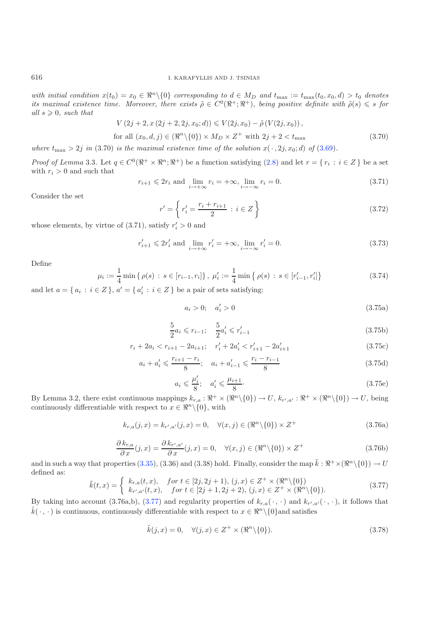*with initial condition*  $x(t_0) = x_0 \in \mathbb{R}^n \setminus \{0\}$  *corresponding to*  $d \in M_D$  *and*  $t_{\text{max}} := t_{\text{max}}(t_0, x_0, d) > t_0$  *denotes its maximal existence time. Moreover, there exists*  $\tilde{\rho} \in C^0(\mathbb{R}^+;\mathbb{R}^+)$ , being positive definite with  $\tilde{\rho}(s) \leq s$  for  $all s \geqslant 0$ *, such that* 

$$
V(2j + 2, x(2j + 2, 2j, x_0; d)) \le V(2j, x_0) - \tilde{\rho}(V(2j, x_0)),
$$
  
for all  $(x_0, d, j) \in (\Re^n \setminus \{0\}) \times M_D \times Z^+$  with  $2j + 2 < t_{\max}$  (3.70)

*where*  $t_{\text{max}} > 2j$  *in* (3.70) *is the maximal existence time of the solution*  $x(\cdot, 2j, x_0; d)$  *of* [\(3.69\)](#page-16-4)*.* 

<span id="page-17-5"></span>*Proof of Lemma* 3.3. Let  $q \in C^0(\mathbb{R}^+ \times \mathbb{R}^n; \mathbb{R}^+)$  be a function satisfying [\(2.8\)](#page-5-1) and let  $r = \{r_i : i \in Z\}$  be a set with  $r_i > 0$  and such that

$$
r_{i+1} \leqslant 2r_i \text{ and } \lim_{i \to +\infty} r_i = +\infty, \lim_{i \to -\infty} r_i = 0. \tag{3.71}
$$

Consider the set

$$
r' = \left\{ r'_i = \frac{r_i + r_{i+1}}{2} : i \in Z \right\}
$$
\n(3.72)

whose elements, by virtue of  $(3.71)$ , satisfy  $r_i' > 0$  and

<span id="page-17-1"></span>
$$
r'_{i+1} \le 2r'_{i}
$$
 and  $\lim_{i \to +\infty} r'_{i} = +\infty$ ,  $\lim_{i \to -\infty} r'_{i} = 0$ . (3.73)

Define

<span id="page-17-4"></span><span id="page-17-3"></span><span id="page-17-2"></span>
$$
\mu_i := \frac{1}{4} \min \{ \rho(s) : s \in [r_{i-1}, r_i] \}, \ \mu'_i := \frac{1}{4} \min \{ \rho(s) : s \in [r'_{i-1}, r'_i] \}
$$
\n
$$
(3.74)
$$

and let  $a = \{a_i : i \in \mathbb{Z}\}, a' = \{a'_i : i \in \mathbb{Z}\}$  be a pair of sets satisfying:

$$
a_i > 0; \quad a'_i > 0 \tag{3.75a}
$$

$$
\frac{5}{2}a_i \leqslant r_{i-1}; \quad \frac{5}{2}a'_i \leqslant r'_{i-1} \tag{3.75b}
$$

$$
r_i + 2a_i < r_{i+1} - 2a_{i+1}; \quad r'_i + 2a'_i < r'_{i+1} - 2a'_{i+1} \tag{3.75c}
$$

$$
a_i + a'_i \leqslant \frac{r_{i+1} - r_i}{8}; \quad a_i + a'_{i-1} \leqslant \frac{r_i - r_{i-1}}{8} \tag{3.75d}
$$

$$
a_i \leqslant \frac{\mu_i'}{8}; \quad a_i' \leqslant \frac{\mu_{i+1}}{8}.\tag{3.75e}
$$

<span id="page-17-0"></span>By Lemma 3.2, there exist continuous mappings  $k_{r,a}: \mathbb{R}^+ \times (\mathbb{R}^n \setminus \{0\}) \to U$ ,  $k_{r',a'}: \mathbb{R}^+ \times (\mathbb{R}^n \setminus \{0\}) \to U$ , being continuously differentiable with respect to  $x \in \mathbb{R}^n \setminus \{0\}$ , with

$$
k_{r,a}(j,x) = k_{r',a'}(j,x) = 0, \quad \forall (x,j) \in (\Re^n \setminus \{0\}) \times Z^+
$$
\n(3.76a)

$$
\frac{\partial k_{r,a}}{\partial x}(j,x) = \frac{\partial k_{r',a'}}{\partial x}(j,x) = 0, \quad \forall (x,j) \in (\Re^n \setminus \{0\}) \times Z^+ \tag{3.76b}
$$

and in such a way that properties [\(3.35\)](#page-11-2), (3.36) and (3.38) hold. Finally, consider the map  $\tilde{k}: \mathbb{R}^+ \times (\mathbb{R}^n \setminus \{0\}) \to U$ defined as:

$$
\tilde{k}(t,x) = \begin{cases}\nk_{r,a}(t,x), & \text{for } t \in [2j, 2j+1), (j,x) \in Z^+ \times (\Re^n \setminus \{0\}) \\
k_{r',a'}(t,x), & \text{for } t \in [2j+1, 2j+2), (j,x) \in Z^+ \times (\Re^n \setminus \{0\}).\n\end{cases}
$$
\n(3.77)

By taking into account  $(3.76a,b), (3.77)$  $(3.76a,b), (3.77)$  and regularity properties of  $k_{r,a}(\cdot,\cdot)$  and  $k_{r',a'}(\cdot,\cdot)$ , it follows that  $\tilde{k}(\cdot,\cdot)$  is continuous, continuously differentiable with respect to  $x \in \Re^n \setminus \{0\}$  and satisfies

$$
\tilde{k}(j,x) = 0, \quad \forall (j,x) \in Z^+ \times (\Re^n \setminus \{0\}).\tag{3.78}
$$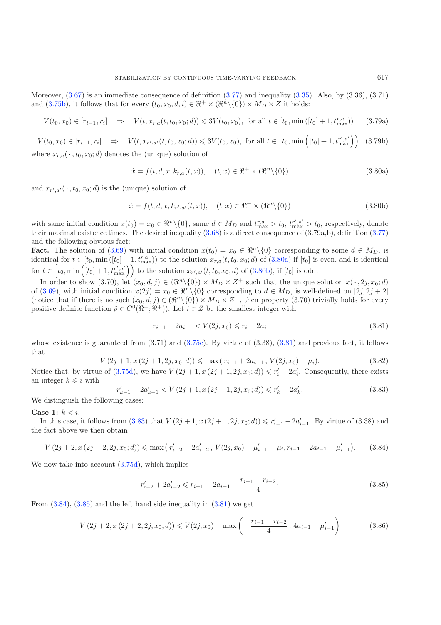<span id="page-18-0"></span>Moreover,  $(3.67)$  is an immediate consequence of definition  $(3.77)$  and inequality  $(3.35)$ . Also, by  $(3.36)$ ,  $(3.71)$ and [\(3.75b\)](#page-17-1), it follows that for every  $(t_0, x_0, d, i) \in \mathbb{R}^+ \times (\mathbb{R}^n \setminus \{0\}) \times M_D \times Z$  it holds:

<span id="page-18-1"></span>
$$
V(t_0, x_0) \in [r_{i-1}, r_i] \quad \Rightarrow \quad V(t, x_{r,a}(t, t_0, x_0; d)) \leq 3V(t_0, x_0), \text{ for all } t \in [t_0, \min([t_0] + 1, t_{\text{max}}^{r,a})) \tag{3.79a}
$$

 $V(t_0, x_0) \in [r_{i-1}, r_i] \Rightarrow V(t, x_{r',a'}(t, t_0, x_0; d)) \leqslant 3V(t_0, x_0), \text{ for all } t \in [t_0, \min\left([t_0] + 1, t_{\max}^{r', a'}\right)]$  (3.79b) where  $x_{r,a}(\cdot, t_0, x_0; d)$  denotes the (unique) solution of

$$
\dot{x} = f(t, d, x, k_{r,a}(t, x)), \quad (t, x) \in \Re^{+} \times (\Re^{n} \setminus \{0\})
$$
\n(3.80a)

and  $x_{r',a'}(\cdot, t_0, x_0; d)$  is the (unique) solution of

<span id="page-18-2"></span>
$$
\dot{x} = f(t, d, x, k_{r',a'}(t, x)), \quad (t, x) \in \mathbb{R}^+ \times (\mathbb{R}^n \setminus \{0\})
$$
\n(3.80b)

with same initial condition  $x(t_0) = x_0 \in \mathbb{R}^n \setminus \{0\}$ , same  $d \in M_D$  and  $t_{\text{max}}^{r,a} > t_0$ ,  $t_{\text{max}}^{r',a'} > t_0$ , respectively, denote their maximal existence times. The desired inequality [\(3.68\)](#page-16-6) is a direct consequence of (3.79a,b), definition [\(3.77\)](#page-17-0) and the following obvious fact:

<span id="page-18-6"></span>**Fact.** The solution of [\(3.69\)](#page-16-4) with initial condition  $x(t_0) = x_0 \in \mathbb{R}^n \setminus \{0\}$  corresponding to some  $d \in M_D$ , is identical for  $t \in [t_0, \min([t_0] + 1, t_{\max}^{r,a}))$  to the solution  $x_{r,a}(t, t_0, x_0; d)$  of  $(3.80a)$  if  $[t_0]$  is even, and is identical for  $t \in \left[t_0, \min\left([t_0] + 1, t_{\max}^{r', a'}\right)\right]$  to the solution  $x_{r', a'}(t, t_0, x_0; d)$  of  $(3.80b)$ , if  $[t_0]$  is odd.

<span id="page-18-3"></span>In order to show (3.70), let  $(x_0, d, j) \in (\Re^n \setminus \{0\}) \times M_D \times Z^+$  such that the unique solution  $x(\cdot, 2j, x_0; d)$ of [\(3.69\)](#page-16-4), with initial condition  $x(2j) = x_0 \in \mathbb{R}^n \setminus \{0\}$  corresponding to  $d \in M_D$ , is well-defined on  $[2j, 2j + 2]$ (notice that if there is no such  $(x_0, d, j) \in (\mathbb{R}^n \setminus \{0\}) \times M_D \times Z^+$ , then property (3.70) trivially holds for every positive definite function  $\tilde{\rho} \in C^0(\mathbb{R}^+;\mathbb{R}^+)$ . Let  $i \in \mathbb{Z}$  be the smallest integer with

$$
r_{i-1} - 2a_{i-1} < V(2j, x_0) \leq r_i - 2a_i \tag{3.81}
$$

<span id="page-18-4"></span>whose existence is guaranteed from  $(3.71)$  and  $(3.75c)$ . By virtue of  $(3.38)$ ,  $(3.81)$  and previous fact, it follows that

<span id="page-18-5"></span>
$$
V(2j+1, x(2j+1, 2j, x_0; d)) \le \max(r_{i-1} + 2a_{i-1}, V(2j, x_0) - \mu_i).
$$
\n(3.82)

Notice that, by virtue of  $(3.75d)$ , we have  $V(2j+1, x(2j+1, 2j, x_0; d)) \leq r'_i - 2a'_i$ . Consequently, there exists an integer  $k \leq i$  with

$$
r'_{k-1} - 2a'_{k-1} < V\left(2j+1, x\left(2j+1, 2j, x_0; d\right)\right) \leqslant r'_k - 2a'_k. \tag{3.83}
$$
\nWe distinguish the following cases:

Case 1:  $k < i$ .

In this case, it follows from  $(3.83)$  that  $V(2j + 1, x(2j + 1, 2j, x_0; d)) \leq r'_{i-1} - 2a'_{i-1}$ . By virtue of  $(3.38)$  and the fact above we then obtain

$$
V(2j+2, x(2j+2, 2j, x_0; d)) \le \max\left(r'_{i-2} + 2a'_{i-2}, V(2j, x_0) - \mu'_{i-1} - \mu_i, r_{i-1} + 2a_{i-1} - \mu'_{i-1}\right). \tag{3.84}
$$

We now take into account  $(3.75d)$ , which implies

$$
r'_{i-2} + 2a'_{i-2} \leq r_{i-1} - 2a_{i-1} - \frac{r_{i-1} - r_{i-2}}{4}.\tag{3.85}
$$

From  $(3.84)$ ,  $(3.85)$  and the left hand side inequality in  $(3.81)$  we get

$$
V(2j+2, x(2j+2, 2j, x_0; d)) \leq V(2j, x_0) + \max\left(-\frac{r_{i-1} - r_{i-2}}{4}, 4a_{i-1} - \mu'_{i-1}\right)
$$
(3.86)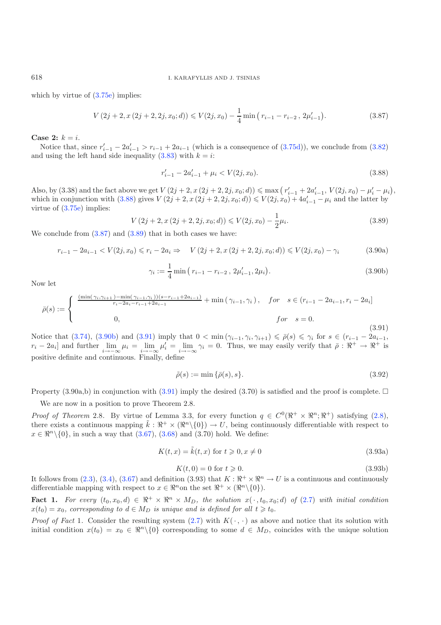<span id="page-19-1"></span>618 I. KARAFYLLIS AND J. TSINIAS

which by virtue of  $(3.75e)$  implies:

<span id="page-19-3"></span><span id="page-19-2"></span><span id="page-19-0"></span>
$$
V(2j+2, x(2j+2, 2j, x_0; d)) \leq V(2j, x_0) - \frac{1}{4} \min (r_{i-1} - r_{i-2}, 2\mu'_{i-1}).
$$
\n(3.87)

**Case 2:**  $k = i$ .

Notice that, since  $r'_{i-1} - 2a'_{i-1} > r_{i-1} + 2a_{i-1}$  (which is a consequence of  $(3.75d)$ ), we conclude from  $(3.82)$ and using the left hand side inequality  $(3.83)$  with  $k = i$ :

$$
r'_{i-1} - 2a'_{i-1} + \mu_i < V(2j, x_0). \tag{3.88}
$$

<span id="page-19-4"></span>Also, by (3.38) and the fact above we get  $V(2j + 2, x(2j + 2, 2j, x_0; d)) \le \max (r'_{i-1} + 2a'_{i-1}, V(2j, x_0) - \mu'_i - \mu_i),$ which in conjunction with  $(3.88)$  gives  $V(2j + 2, x(2j + 2, 2j, x_0; d)) \leq V(2j, x_0) + 4a'_{i-1} - \mu_i$  and the latter by virtue of [\(3.75e\)](#page-17-4) implies:

$$
V(2j + 2, x(2j + 2, 2j, x_0; d)) \le V(2j, x_0) - \frac{1}{2}\mu_i.
$$
\n(3.89)

We conclude from  $(3.87)$  and  $(3.89)$  that in both cases we have:

$$
r_{i-1} - 2a_{i-1} < V(2j, x_0) \leq r_i - 2a_i \Rightarrow V(2j+2, x(2j+2, 2j, x_0; d)) \leq V(2j, x_0) - \gamma_i \tag{3.90a}
$$

$$
\gamma_i := \frac{1}{4} \min \left( r_{i-1} - r_{i-2}, \, 2\mu'_{i-1}, 2\mu_i \right). \tag{3.90b}
$$

Now let

$$
\bar{\rho}(s) := \begin{cases}\n\frac{(\min(\gamma_i, \gamma_{i+1}) - \min(\gamma_{i-1}, \gamma_i))(s - r_{i-1} + 2a_{i-1})}{r_i - 2a_i - r_{i-1} + 2a_{i-1}} + \min(\gamma_{i-1}, \gamma_i), & \text{for } s \in (r_{i-1} - 2a_{i-1}, r_i - 2a_i] \\
0, & \text{for } s = 0.\n\end{cases}
$$
\n(3.91)

Notice that [\(3.74\)](#page-17-5), [\(3.90b\)](#page-19-3) and [\(3.91\)](#page-19-4) imply that  $0 < \min(\gamma_{i-1}, \gamma_i, \gamma_{i+1}) \leq \bar{\rho}(s) \leq \gamma_i$  for  $s \in (r_{i-1} - 2a_{i-1},$  $r_i - 2a_i$  and further  $\lim_{i \to -\infty} \mu_i = \lim_{i \to -\infty} \mu'_i = \lim_{i \to -\infty} \gamma_i = 0$ . Thus, we may easily verify that  $\bar{\rho}: \Re^+ \to \Re^+$  is positive definite and continuous. Finally, define

$$
\tilde{\rho}(s) := \min \{ \bar{\rho}(s), s \}. \tag{3.92}
$$

Property (3.90a,b) in conjunction with [\(3.91\)](#page-19-4) imply the desired (3.70) is satisfied and the proof is complete.  $\Box$ 

We are now in a position to prove Theorem 2.8.

*Proof of Theorem* 2.8. By virtue of Lemma 3.3, for every function  $q \in C^0(\mathbb{R}^+ \times \mathbb{R}^n; \mathbb{R}^+)$  satisfying [\(2.8\)](#page-5-1), there exists a continuous mapping  $\tilde{k}: \mathbb{R}^+ \times (\mathbb{R}^n \setminus \{0\}) \to U$ , being continuously differentiable with respect to  $x \in \mathbb{R}^{n} \setminus \{0\}$ , in such a way that  $(3.67), (3.68)$  $(3.67), (3.68)$  $(3.67), (3.68)$  and  $(3.70)$  hold. We define:

$$
K(t, x) = \tilde{k}(t, x) \text{ for } t \geqslant 0, x \neq 0
$$
\n
$$
(3.93a)
$$

$$
K(t,0) = 0 \text{ for } t \geqslant 0. \tag{3.93b}
$$

It follows from [\(2.3\)](#page-3-3), [\(3.4\)](#page-7-0), [\(3.67\)](#page-16-5) and definition (3.93) that  $K : \mathbb{R}^+ \times \mathbb{R}^n \to U$  is a continuous and continuously differentiable mapping with respect to  $x \in \mathbb{R}^n$  on the set  $\mathbb{R}^+ \times (\mathbb{R}^n \setminus \{0\}).$ 

**Fact 1.** For every  $(t_0, x_0, d) \in \mathbb{R}^+ \times \mathbb{R}^n \times M_D$ , the solution  $x(\cdot, t_0, x_0; d)$  of  $(2.7)$  with initial condition  $x(t_0) = x_0$ , corresponding to  $d \in M_D$  is unique and is defined for all  $t \geq t_0$ .

*Proof of Fact* 1. Consider the resulting system  $(2.7)$  with  $K(\cdot, \cdot)$  as above and notice that its solution with initial condition  $x(t_0) = x_0 \in \mathbb{R}^n \setminus \{0\}$  corresponding to some  $d \in M_D$ , coincides with the unique solution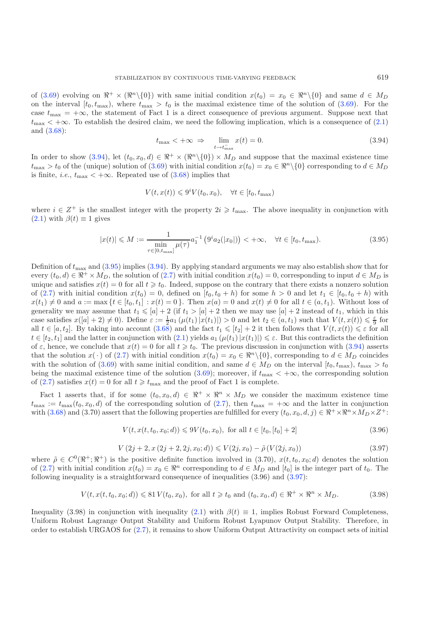<span id="page-20-0"></span>of [\(3.69\)](#page-16-4) evolving on  $\mathbb{R}^+ \times (\mathbb{R}^n \setminus \{0\})$  with same initial condition  $x(t_0) = x_0 \in \mathbb{R}^n \setminus \{0\}$  and same  $d \in M_D$ on the interval  $[t_0, t_{\text{max}})$ , where  $t_{\text{max}} > t_0$  is the maximal existence time of the solution of [\(3.69\)](#page-16-4). For the case  $t_{\text{max}} = +\infty$ , the statement of Fact 1 is a direct consequence of previous argument. Suppose next that  $t_{\text{max}} < +\infty$ . To establish the desired claim, we need the following implication, which is a consequence of [\(2.1\)](#page-2-0) and [\(3.68\)](#page-16-6):

$$
t_{\max} < +\infty \implies \lim_{t \to t_{\max}^-} x(t) = 0. \tag{3.94}
$$

<span id="page-20-1"></span>In order to show [\(3.94\)](#page-20-0), let  $(t_0, x_0, d) \in \mathbb{R}^+ \times (\mathbb{R}^n \setminus \{0\}) \times M_D$  and suppose that the maximal existence time  $t_{\text{max}} > t_0$  of the (unique) solution of [\(3.69\)](#page-16-4) with initial condition  $x(t_0) = x_0 \in \Re^n \setminus \{0\}$  corresponding to  $d \in M_D$ is finite, *i.e.*,  $t_{\text{max}} < +\infty$ . Repeated use of [\(3.68\)](#page-16-6) implies that

$$
V(t, x(t)) \leqslant 9^i V(t_0, x_0), \quad \forall t \in [t_0, t_{\max})
$$

where  $i \in \mathbb{Z}^+$  is the smallest integer with the property  $2i \geqslant t_{\text{max}}$ . The above inequality in conjunction with  $(2.1)$  with  $\beta(t) \equiv 1$  gives

$$
|x(t)| \le M := \frac{1}{\min_{\tau \in [0, t_{\text{max}}]} \mu(\tau)} a_1^{-1} \left( 9^i a_2(|x_0|) \right) < +\infty, \quad \forall t \in [t_0, t_{\text{max}}). \tag{3.95}
$$

Definition of  $t_{\text{max}}$  and [\(3.95\)](#page-20-1) implies [\(3.94\)](#page-20-0). By applying standard arguments we may also establish show that for every  $(t_0, d) \in \mathbb{R}^+ \times M_D$ , the solution of [\(2.7\)](#page-5-0) with initial condition  $x(t_0) = 0$ , corresponding to input  $d \in M_D$  is unique and satisfies  $x(t) = 0$  for all  $t \geq t_0$ . Indeed, suppose on the contrary that there exists a nonzero solution of [\(2.7\)](#page-5-0) with initial condition  $x(t_0) = 0$ , defined on  $[t_0, t_0 + h)$  for some  $h > 0$  and let  $t_1 \in [t_0, t_0 + h)$  with  $x(t_1) \neq 0$  and  $a := \max\{t \in [t_0, t_1] : x(t) = 0\}$ . Then  $x(a) = 0$  and  $x(t) \neq 0$  for all  $t \in (a, t_1)$ . Without loss of generality we may assume that  $t_1 \leq a + 2$  (if  $t_1 > a + 2$  then we may use  $[a] + 2$  instead of  $t_1$ , which in this case satisfies  $x([a]+2) \neq 0$ . Define  $\varepsilon := \frac{1}{2}a_1(\mu(t_1)|x(t_1)|) > 0$  and let  $t_2 \in (a, t_1)$  such that  $V(t, x(t)) \leq \frac{\varepsilon}{9}$  for all  $t \in [a, t_2]$ . By taking into account  $(3.68)$  and the fact  $t_1 \leq t_2 + 2$  it then follows that  $V(t, x(t)) \leq \varepsilon$  for all  $t \in [t_2, t_1]$  and the latter in conjunction with  $(2.1)$  yields  $a_1(\mu(t_1)|x(t_1)|) \leq \varepsilon$ . But this contradicts the definition of  $\varepsilon$ , hence, we conclude that  $x(t) = 0$  for all  $t \geq t_0$ . The previous discussion in conjunction with [\(3.94\)](#page-20-0) asserts that the solution  $x(\cdot)$  of [\(2.7\)](#page-5-0) with initial condition  $x(t_0) = x_0 \in \mathbb{R}^n \setminus \{0\}$ , corresponding to  $d \in M_D$  coincides with the solution of [\(3.69\)](#page-16-4) with same initial condition, and same  $d \in M_D$  on the interval  $[t_0, t_{\text{max}}), t_{\text{max}} > t_0$ being the maximal existence time of the solution [\(3.69\)](#page-16-4); moreover, if  $t_{\text{max}} < +\infty$ , the corresponding solution of [\(2.7\)](#page-5-0) satisfies  $x(t) = 0$  for all  $t \geq t_{\text{max}}$  and the proof of Fact 1 is complete.

<span id="page-20-2"></span>Fact 1 asserts that, if for some  $(t_0, x_0, d) \in \mathbb{R}^+ \times \mathbb{R}^n \times M_D$  we consider the maximum existence time  $t_{\text{max}} := t_{\text{max}}(t_0, x_0, d)$  of the corresponding solution of [\(2.7\)](#page-5-0), then  $t_{\text{max}} = +\infty$  and the latter in conjunction with [\(3.68\)](#page-16-6) and (3.70) assert that the following properties are fulfilled for every  $(t_0, x_0, d, j) \in \mathbb{R}^+ \times \mathbb{R}^n \times M_D \times Z^+$ :

$$
V(t, x(t, t_0, x_0; d)) \leq 9V(t_0, x_0), \text{ for all } t \in [t_0, [t_0] + 2]
$$
\n(3.96)

$$
V(2j+2, x(2j+2, 2j, x_0; d)) \leq V(2j, x_0) - \tilde{\rho}(V(2j, x_0))
$$
\n(3.97)

where  $\tilde{\rho} \in C^0(\mathbb{R}^+;\mathbb{R}^+)$  is the positive definite function involved in (3.70),  $x(t, t_0, x_0; d)$  denotes the solution of [\(2.7\)](#page-5-0) with initial condition  $x(t_0) = x_0 \in \mathbb{R}^n$  corresponding to  $d \in M_D$  and  $[t_0]$  is the integer part of  $t_0$ . The following inequality is a straightforward consequence of inequalities (3.96) and [\(3.97\)](#page-20-2):

$$
V(t, x(t, t_0, x_0; d)) \le 81 V(t_0, x_0), \text{ for all } t \ge t_0 \text{ and } (t_0, x_0, d) \in \mathbb{R}^+ \times \mathbb{R}^n \times M_D.
$$
 (3.98)

Inequality (3.98) in conjunction with inequality [\(2.1\)](#page-2-0) with  $\beta(t) \equiv 1$ , implies Robust Forward Completeness, Uniform Robust Lagrange Output Stability and Uniform Robust Lyapunov Output Stability. Therefore, in order to establish URGAOS for [\(2.7\)](#page-5-0), it remains to show Uniform Output Attractivity on compact sets of initial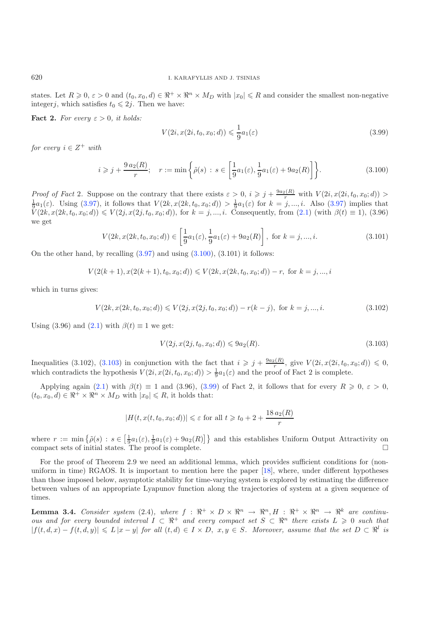states. Let  $R \geq 0$ ,  $\varepsilon > 0$  and  $(t_0, x_0, d) \in \mathbb{R}^+ \times \mathbb{R}^n \times M_D$  with  $|x_0| \leq R$  and consider the smallest non-negative integerj, which satisfies  $t_0 \leq 2j$ . Then we have:

**Fact 2.** For every  $\varepsilon > 0$ , it holds:

$$
V(2i, x(2i, t_0, x_0; d)) \leq \frac{1}{9}a_1(\varepsilon)
$$
\n(3.99)

*for every*  $i \in Z^+$  *with* 

$$
i \geqslant j + \frac{9 a_2(R)}{r}; \quad r := \min\left\{\tilde{\rho}(s) : s \in \left[\frac{1}{9}a_1(\varepsilon), \frac{1}{9}a_1(\varepsilon) + 9a_2(R)\right]\right\}.
$$
\n(3.100)

*Proof of Fact* 2. Suppose on the contrary that there exists  $\varepsilon > 0$ ,  $i \ge j + \frac{9a_2(R)}{r}$  with  $V(2i, x(2i, t_0, x_0; d)) > \frac{1}{9}a_1(\varepsilon)$ . Using [\(3.97\)](#page-20-2), it follows that  $V(2k, x(2k, t_0, x_0; d)) > \frac{1}{9}a_1(\varepsilon)$  for  $k = j, ..., i$ . Al  $V(2k, x(2k, t_0, x_0; d)) \leq V(2j, x(2j, t_0, x_0; d))$ , for  $k = j, ..., i$ . Consequently, from  $(2.1)$  (with  $\beta(t) \equiv 1$ ),  $(3.96)$ we get

<span id="page-21-1"></span>
$$
V(2k, x(2k, t_0, x_0; d)) \in \left[\frac{1}{9}a_1(\varepsilon), \frac{1}{9}a_1(\varepsilon) + 9a_2(R)\right], \text{ for } k = j, ..., i.
$$
 (3.101)

On the other hand, by recalling  $(3.97)$  and using  $(3.100)$ ,  $(3.101)$  it follows:

$$
V(2(k+1), x(2(k+1), t_0, x_0; d)) \leqslant V(2k, x(2k, t_0, x_0; d)) - r
$$
, for  $k = j, ..., i$ 

which in turns gives:

$$
V(2k, x(2k, t_0, x_0; d)) \le V(2j, x(2j, t_0, x_0; d)) - r(k - j), \text{ for } k = j, ..., i.
$$
 (3.102)

Using (3.96) and [\(2.1\)](#page-2-0) with  $\beta(t) \equiv 1$  we get:

$$
V(2j, x(2j, t_0, x_0; d)) \leq 9a_2(R). \tag{3.103}
$$

Inequalities (3.102), [\(3.103\)](#page-21-1) in conjunction with the fact that  $i \geq j + \frac{9a_2(R)}{r}$ , give  $V(2i, x(2i, t_0, x_0; d)) \leq 0$ , which contradicts the hypothesis  $V(2i, x(2i, t_0, x_0; d)) > \frac{1}{9}a_1(\varepsilon)$  and the proof of Fact 2 is complete.

Applying again [\(2.1\)](#page-2-0) with  $\beta(t) \equiv 1$  and (3.96), [\(3.99\)](#page-21-2) of Fact 2, it follows that for every  $R \geq 0$ ,  $\varepsilon > 0$ ,  $(t_0, x_0, d) \in \mathbb{R}^+ \times \mathbb{R}^n \times M_D$  with  $|x_0| \leq R$ , it holds that:

$$
|H(t, x(t, t_0, x_0; d))| \le \varepsilon \text{ for all } t \ge t_0 + 2 + \frac{18 a_2(R)}{r}
$$

where  $r := \min \{ \tilde{\rho}(s) : s \in \left[\frac{1}{9}a_1(\varepsilon), \frac{1}{9}a_1(\varepsilon) + 9a_2(R) \right] \}$  and this establishes Uniform Output Attractivity on compact sets of initial states. The proof is complete.  $\Box$ 

For the proof of Theorem 2.9 we need an additional lemma, which provides sufficient conditions for (nonuniform in time) RGAOS. It is important to mention here the paper [\[18\]](#page-26-19), where, under different hypotheses than those imposed below, asymptotic stability for time-varying system is explored by estimating the difference between values of an appropriate Lyapunov function along the trajectories of system at a given sequence of times.

**Lemma 3.4.** *Consider system* (2.4)*, where*  $f : \mathbb{R}^+ \times D \times \mathbb{R}^n \to \mathbb{R}^n$ ,  $H : \mathbb{R}^+ \times \mathbb{R}^n \to \mathbb{R}^k$  are continu*ous and for every bounded interval*  $I \subset \mathbb{R}^+$  *and every compact set*  $S \subset \mathbb{R}^n$  *there exists*  $L \geq 0$  *such that*  $|f(t, d, x) - f(t, d, y)| \le L |x - y|$  *for all*  $(t, d) \in I \times D$ ,  $x, y \in S$ *. Moreover, assume that the set*  $D \subset \mathbb{R}^l$  *is* 

<span id="page-21-2"></span><span id="page-21-0"></span>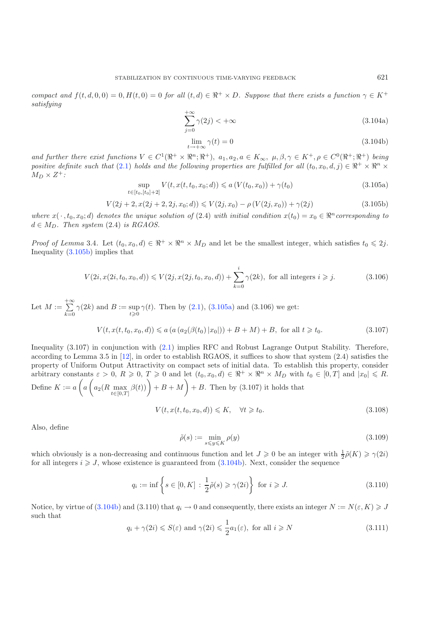<span id="page-22-1"></span><span id="page-22-0"></span>*compact and*  $f(t, d, 0, 0) = 0$ ,  $H(t, 0) = 0$  *for all*  $(t, d) \in \mathbb{R}^+ \times D$ *. Suppose that there exists a function*  $\gamma \in K^+$ *satisfying*

<span id="page-22-2"></span>
$$
\sum_{j=0}^{+\infty} \gamma(2j) < +\infty \tag{3.104a}
$$

$$
\lim_{t \to +\infty} \gamma(t) = 0 \tag{3.104b}
$$

*and further there exist functions*  $V \in C^1(\mathbb{R}^+ \times \mathbb{R}^n; \mathbb{R}^+), a_1, a_2, a \in K_\infty, \mu, \beta, \gamma \in K^+, \rho \in C^0(\mathbb{R}^+; \mathbb{R}^+)$  *being positive definite such that* [\(2.1\)](#page-2-0) *holds and the following properties are fulfilled for all*  $(t_0, x_0, d, j) \in \mathbb{R}^+ \times \mathbb{R}^n \times$  $M_D \times Z^+$ :

$$
\sup_{t \in [t_0, [t_0] + 2]} V(t, x(t, t_0, x_0; d)) \le a \left( V(t_0, x_0) \right) + \gamma(t_0)
$$
\n(3.105a)

$$
V(2j + 2, x(2j + 2, 2j, x_0; d)) \le V(2j, x_0) - \rho (V(2j, x_0)) + \gamma(2j)
$$
\n(3.105b)

*where*  $x(\cdot, t_0, x_0; d)$  *denotes the unique solution of* (2.4) *with initial condition*  $x(t_0) = x_0 \in \mathbb{R}^n$  *corresponding to*  $d \in M_D$ . Then system (2.4) *is RGAOS*.

*Proof of Lemma* 3.4. Let  $(t_0, x_0, d) \in \mathbb{R}^+ \times \mathbb{R}^n \times M_D$  and let be the smallest integer, which satisfies  $t_0 \leq 2j$ . Inequality [\(3.105b\)](#page-22-0) implies that

<span id="page-22-4"></span><span id="page-22-3"></span>
$$
V(2i, x(2i, t_0, x_0, d)) \le V(2j, x(2j, t_0, x_0, d)) + \sum_{k=0}^{i} \gamma(2k)
$$
, for all integers  $i \ge j$ . (3.106)

Let  $M := \sum_{n=1}^{+\infty}$  $\sum_{k=0} \gamma(2k)$  and  $B := \sup_{t \geq 0} \gamma(t)$ . Then by [\(2.1\)](#page-2-0), [\(3.105a\)](#page-22-1) and (3.106) we get:  $V(t, x(t, t_0, x_0, d)) \leq a (a (a_2(\beta(t_0)|x_0|)) + B + M) + B$ , for all  $t \geq t_0$ .

Inequality (3.107) in conjunction with [\(2.1\)](#page-2-0) implies RFC and Robust Lagrange Output Stability. Therefore, according to Lemma 3.5 in [\[12\]](#page-26-5), in order to establish RGAOS, it suffices to show that system (2.4) satisfies the property of Uniform Output Attractivity on compact sets of initial data. To establish this property, consider arbitrary constants  $\varepsilon > 0$ ,  $R \geqslant 0$ ,  $T \geqslant 0$  and let  $(t_0, x_0, d) \in \Re^+ \times \Re^n \times M_D$  with  $t_0 \in [0, T]$  and  $|x_0| \leqslant R$ . Define  $K := a \left( a \left( a_2(R \max_{t \in [0,T]}$  $\beta(t)$ ) + B + M + B. Then by (3.107) it holds that

$$
V(t, x(t, t_0, x_0, d)) \leq K, \quad \forall t \geq t_0. \tag{3.108}
$$

Also, define

$$
\tilde{\rho}(s) := \min_{s \le y \le K} \rho(y) \tag{3.109}
$$

which obviously is a non-decreasing and continuous function and let  $J \geq 0$  be an integer with  $\frac{1}{2}\tilde{\rho}(K) \geq \gamma(2i)$ for all integers  $i \geqslant J$ , whose existence is guaranteed from [\(3.104b\)](#page-22-2). Next, consider the sequence

$$
q_i := \inf \left\{ s \in [0, K] : \frac{1}{2}\tilde{\rho}(s) \geq \gamma(2i) \right\} \text{ for } i \geq J. \tag{3.110}
$$

Notice, by virtue of  $(3.104b)$  and  $(3.110)$  that  $q_i \to 0$  and consequently, there exists an integer  $N := N(\varepsilon, K) \geqslant J$ such that

$$
q_i + \gamma(2i) \leqslant S(\varepsilon) \text{ and } \gamma(2i) \leqslant \frac{1}{2}a_1(\varepsilon), \text{ for all } i \geqslant N \tag{3.111}
$$

 $(3.107)$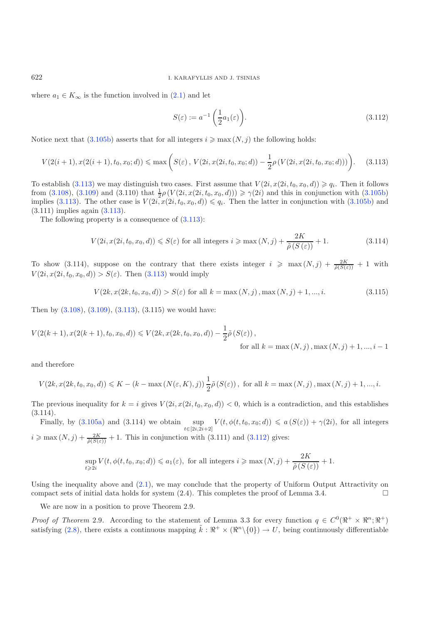where  $a_1 \in K_\infty$  is the function involved in  $(2.1)$  and let

$$
S(\varepsilon) := a^{-1} \left( \frac{1}{2} a_1(\varepsilon) \right). \tag{3.112}
$$

Notice next that  $(3.105b)$  asserts that for all integers  $i \geq \max(N, j)$  the following holds:

$$
V(2(i+1), x(2(i+1), t_0, x_0; d)) \le \max\left(S(\varepsilon), V(2i, x(2i, t_0, x_0; d)) - \frac{1}{2}\rho\left(V(2i, x(2i, t_0, x_0; d))\right)\right).
$$
 (3.113)

To establish [\(3.113\)](#page-23-0) we may distinguish two cases. First assume that  $V(2i, x(2i, t_0, x_0, d)) \geqslant q_i$ . Then it follows from [\(3.108\)](#page-22-3), [\(3.109\)](#page-22-4) and (3.110) that  $\frac{1}{2}\rho(V(2i, x(2i, t_0, x_0, d))) \ge \gamma(2i)$  and this in conjunction with [\(3.105b\)](#page-22-0) implies [\(3.113\)](#page-23-0). The other case is  $V(2i, x(2i, t_0, x_0, d)) \leqslant q_i$ . Then the latter in conjunction with [\(3.105b\)](#page-22-0) and (3.111) implies again [\(3.113\)](#page-23-0).

The following property is a consequence of  $(3.113)$ :

$$
V(2i, x(2i, t_0, x_0, d)) \le S(\varepsilon) \text{ for all integers } i \ge \max(N, j) + \frac{2K}{\tilde{\rho}(S(\varepsilon))} + 1. \tag{3.114}
$$

To show (3.114), suppose on the contrary that there exists integer  $i \ge \max(N, j) + \frac{2K}{\tilde{\rho}(S(\varepsilon))} + 1$  with  $V(2i, x(2i, t_0, x_0, d)) > S(\varepsilon)$ . Then [\(3.113\)](#page-23-0) would imply

$$
V(2k, x(2k, t_0, x_0, d)) > S(\varepsilon) \text{ for all } k = \max(N, j), \max(N, j) + 1, ..., i.
$$
 (3.115)

Then by  $(3.108)$ ,  $(3.109)$ ,  $(3.113)$ ,  $(3.115)$  we would have:

$$
V(2(k+1), x(2(k+1), t_0, x_0, d)) \le V(2k, x(2k, t_0, x_0, d)) - \frac{1}{2}\tilde{\rho}(S(\varepsilon)),
$$
  
for all  $k = \max(N, j), \max(N, j) + 1, ..., i - 1$ 

and therefore

$$
V(2k, x(2k, t_0, x_0, d)) \le K - (k - \max(N(\varepsilon, K), j)) \frac{1}{2} \tilde{\rho}(S(\varepsilon)), \text{ for all } k = \max(N, j), \max(N, j) + 1, ..., i.
$$

The previous inequality for  $k = i$  gives  $V(2i, x(2i, t_0, x_0, d)) < 0$ , which is a contradiction, and this establishes  $(3.114).$ 

Finally, by [\(3.105a\)](#page-22-1) and (3.114) we obtain  $\sup_{t\in[2i,2i+2]} V(t,\phi(t,t_0,x_0;d)) \leq a(S(\varepsilon)) + \gamma(2i)$ , for all integers  $i \geq \max(N, j) + \frac{2K}{\tilde{\rho}(S(\varepsilon))} + 1$ . This in conjunction with (3.111) and [\(3.112\)](#page-23-1) gives:

$$
\sup_{t\geqslant 2i} V(t,\phi(t,t_0,x_0;d))\leqslant a_1(\varepsilon), \text{ for all integers } i\geqslant \max{(N,j)}+\frac{2K}{\tilde{\rho}(S\left(\varepsilon\right))}+1.
$$

Using the inequality above and [\(2.1\)](#page-2-0), we may conclude that the property of Uniform Output Attractivity on compact sets of initial data holds for system  $(2.4)$ . This completes the proof of Lemma 3.4.

We are now in a position to prove Theorem 2.9.

*Proof of Theorem* 2.9. According to the statement of Lemma 3.3 for every function  $q \in C^0(\mathbb{R}^+ \times \mathbb{R}^n; \mathbb{R}^+)$ satisfying [\(2.8\)](#page-5-1), there exists a continuous mapping  $\tilde{k}: \mathbb{R}^+ \times (\mathbb{R}^n \setminus \{0\}) \to U$ , being continuously differentiable

<span id="page-23-1"></span><span id="page-23-0"></span>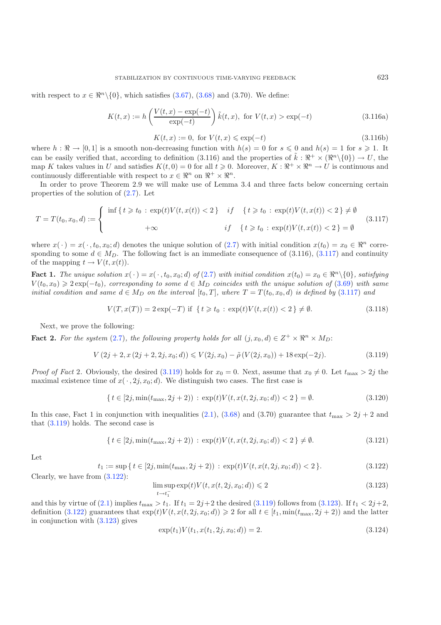<span id="page-24-0"></span>with respect to  $x \in \mathbb{R}^n \setminus \{0\}$ , which satisfies [\(3.67\)](#page-16-5), [\(3.68\)](#page-16-6) and (3.70). We define:

$$
K(t,x) := h\left(\frac{V(t,x) - \exp(-t)}{\exp(-t)}\right) \tilde{k}(t,x), \text{ for } V(t,x) > \exp(-t)
$$
 (3.116a)

 $K(t, x) := 0$ , for  $V(t, x) \le \exp(-t)$  (3.116b)

where  $h : \mathbb{R} \to [0,1]$  is a smooth non-decreasing function with  $h(s) = 0$  for  $s \leq 0$  and  $h(s) = 1$  for  $s \geq 1$ . It can be easily verified that, according to definition (3.116) and the properties of  $\tilde{k}: \mathbb{R}^+ \times (\mathbb{R}^n \setminus \{0\}) \to U$ , the map K takes values in U and satisfies  $K(t, 0) = 0$  for all  $t \ge 0$ . Moreover,  $K : \mathbb{R}^+ \times \mathbb{R}^n \to U$  is continuous and continuously differentiable with respect to  $x \in \mathbb{R}^n$  on  $\mathbb{R}^+ \times \mathbb{R}^n$ .

In order to prove Theorem 2.9 we will make use of Lemma 3.4 and three facts below concerning certain properties of the solution of [\(2.7\)](#page-5-0). Let

$$
T = T(t_0, x_0, d) := \begin{cases} \inf\left\{t \geq t_0 : \exp(t)V(t, x(t)) < 2\right\} & \text{if } \{t \geq t_0 : \exp(t)V(t, x(t)) < 2\} \neq \emptyset \\ +\infty & \text{if } \{t \geq t_0 : \exp(t)V(t, x(t)) < 2\} = \emptyset \end{cases} \tag{3.117}
$$

<span id="page-24-1"></span>where  $x(\cdot) = x(\cdot, t_0, x_0; d)$  denotes the unique solution of [\(2.7\)](#page-5-0) with initial condition  $x(t_0) = x_0 \in \mathbb{R}^n$  corresponding to some  $d \in M_D$ . The following fact is an immediate consequence of (3.116), [\(3.117\)](#page-24-0) and continuity of the mapping  $t \to V(t, x(t))$ .

**Fact 1.** *The unique solution*  $x(\cdot) = x(\cdot, t_0, x_0; d)$  *of* [\(2.7\)](#page-5-0) *with initial condition*  $x(t_0) = x_0 \in \Re^n \setminus \{0\}$ *, satisfying*  $V(t_0, x_0) \geqslant 2 \exp(-t_0)$ , corresponding to some  $d \in M_D$  coincides with the unique solution of  $(3.69)$  with same *initial condition and same*  $d \in M_D$  *on the interval*  $[t_0, T]$ *, where*  $T = T(t_0, x_0, d)$  *is defined by* [\(3.117\)](#page-24-0) *and* 

$$
V(T, x(T)) = 2 \exp(-T) \text{ if } \{t \ge t_0 : \exp(t)V(t, x(t)) < 2\} \ne \emptyset. \tag{3.118}
$$

Next, we prove the following:

**Fact 2.** For the system [\(2.7\)](#page-5-0), the following property holds for all  $(j, x_0, d) \in Z^+ \times \mathbb{R}^n \times M_D$ :

<span id="page-24-3"></span>
$$
V(2j+2, x(2j+2, 2j, x_0; d)) \leq V(2j, x_0) - \tilde{\rho}(V(2j, x_0)) + 18 \exp(-2j). \tag{3.119}
$$

<span id="page-24-2"></span>*Proof of Fact* 2. Obviously, the desired [\(3.119\)](#page-24-1) holds for  $x_0 = 0$ . Next, assume that  $x_0 \neq 0$ . Let  $t_{\text{max}} > 2j$  the maximal existence time of  $x(\cdot, 2j, x_0; d)$ . We distinguish two cases. The first case is

<span id="page-24-4"></span>
$$
\{ t \in [2j, \min(t_{\max}, 2j + 2)) : \exp(t) V(t, x(t, 2j, x_0; d)) < 2 \} = \emptyset.
$$
\n(3.120)

In this case, Fact 1 in conjunction with inequalities [\(2.1\)](#page-2-0), [\(3.68\)](#page-16-6) and (3.70) guarantee that  $t_{\text{max}} > 2j + 2$  and that [\(3.119\)](#page-24-1) holds. The second case is

$$
\{ \, t \in [2j, \min(t_{\max}, 2j+2)) \, : \, \exp(t) V(t, x(t, 2j, x_0; d)) < 2 \, \} \neq \emptyset. \tag{3.121}
$$

Let

$$
t_1 := \sup\left\{t \in [2j, \min(t_{\max}, 2j + 2)) : \exp(t)V(t, x(t, 2j, x_0; d)) < 2\right\}.
$$
\n(3.122)

Clearly, we have from [\(3.122\)](#page-24-2):

$$
\limsup_{t \to t_1^-} \exp(t) V(t, x(t, 2j, x_0; d)) \leqslant 2 \tag{3.123}
$$

and this by virtue of [\(2.1\)](#page-2-0) implies  $t_{\text{max}} > t_1$ . If  $t_1 = 2j+2$  the desired [\(3.119\)](#page-24-1) follows from [\(3.123\)](#page-24-3). If  $t_1 < 2j+2$ , definition [\(3.122\)](#page-24-2) guarantees that  $\exp(t)V(t, x(t, 2j, x_0; d)) \geq 2$  for all  $t \in [t_1, \min(t_{\max}, 2j + 2))$  and the latter in conjunction with [\(3.123\)](#page-24-3) gives

$$
\exp(t_1)V(t_1, x(t_1, 2j, x_0; d)) = 2.
$$
\n(3.124)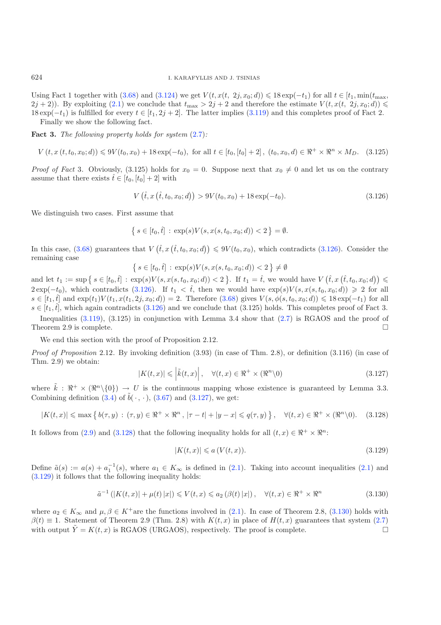Using Fact 1 together with [\(3.68\)](#page-16-6) and [\(3.124\)](#page-24-4) we get  $V(t, x(t, 2j, x_0; d)) \leq 18 \exp(-t_1)$  for all  $t \in [t_1, \min(t_{\max}, t_0, t_0)]$  $(2j + 2)$ ). By exploiting  $(2.1)$  we conclude that  $t_{\text{max}} > 2j + 2$  and therefore the estimate  $V(t, x(t, 2j, x_0; d)) \leq$  $18 \exp(-t_1)$  is fulfilled for every  $t \in [t_1, 2j + 2]$ . The latter implies [\(3.119\)](#page-24-1) and this completes proof of Fact 2. Finally we show the following fact.

**Fact 3.** *The following property holds for system* [\(2.7\)](#page-5-0)*:*

 $V(t, x(t, t_0, x_0; d)) \leq 9V(t_0, x_0) + 18 \exp(-t_0)$ , for all  $t \in [t_0, [t_0] + 2]$ ,  $(t_0, x_0, d) \in \mathbb{R}^+ \times \mathbb{R}^n \times M_D$ . (3.125)

*Proof of Fact* 3. Obviously, (3.125) holds for  $x_0 = 0$ . Suppose next that  $x_0 \neq 0$  and let us on the contrary assume that there exists  $\hat{t} \in [t_0, [t_0] + 2]$  with

$$
V\left(\hat{t}, x\left(\hat{t}, t_0, x_0; d\right)\right) > 9V(t_0, x_0) + 18 \exp(-t_0). \tag{3.126}
$$

We distinguish two cases. First assume that

$$
\{ s \in [t_0, \hat{t}] : \exp(s) V(s, x(s, t_0, x_0; d)) < 2 \} = \emptyset.
$$

In this case, [\(3.68\)](#page-16-6) guarantees that  $V(\hat{t}, x(\hat{t}, t_0, x_0; d)) \leq 9V(t_0, x_0)$ , which contradicts [\(3.126\)](#page-25-0). Consider the remaining case

<span id="page-25-1"></span>
$$
\{ s \in [t_0, \hat{t}] : \exp(s) V(s, x(s, t_0, x_0; d)) < 2 \} \neq \emptyset
$$

and let  $t_1 := \sup \{ s \in [t_0, \hat{t}] : \exp(s) V(s, x(s, t_0, x_0; d)) < 2 \}$ . If  $t_1 = \hat{t}$ , we would have  $V(\hat{t}, x(\hat{t}, t_0, x_0; d)) \leq$  $2 \exp(-t_0)$ , which contradicts [\(3.126\)](#page-25-0). If  $t_1 < \hat{t}$ , then we would have  $\exp(s) V(s, x(s, t_0, x_0; d)) \geq 2$  for all  $s \in [t_1, t]$  and  $\exp(t_1)V(t_1, x(t_1, 2j, x_0; d)) = 2$ . Therefore  $(3.68)$  gives  $V(s, \phi(s, t_0, x_0; d)) \leq 18 \exp(-t_1)$  for all  $s \in [t_1, \hat{t}]$ , which again contradicts [\(3.126\)](#page-25-0) and we conclude that (3.125) holds. This completes proof of Fact 3.

<span id="page-25-2"></span>Inequalities [\(3.119\)](#page-24-1), (3.125) in conjunction with Lemma 3.4 show that [\(2.7\)](#page-5-0) is RGAOS and the proof of Theorem 2.9 is complete.  $\square$ 

We end this section with the proof of Proposition 2.12.

*Proof of Proposition* 2.12*.* By invoking definition (3.93) (in case of Thm. 2.8), or definition (3.116) (in case of Thm. 2.9) we obtain:

<span id="page-25-3"></span>
$$
|K(t,x)| \leqslant \left| \tilde{k}(t,x) \right|, \quad \forall (t,x) \in \Re^+ \times (\Re^n \setminus 0)
$$
\n(3.127)

<span id="page-25-4"></span>where  $\tilde{k}: \mathbb{R}^+ \times (\mathbb{R}^n \setminus \{0\}) \to U$  is the continuous mapping whose existence is guaranteed by Lemma 3.3. Combining definition  $(3.4)$  of  $\tilde{b}(\cdot, \cdot)$ ,  $(3.67)$  and  $(3.127)$ , we get:

$$
|K(t,x)| \leqslant \max\left\{ \left| b(\tau,y) \right| : (\tau,y) \in \Re^+ \times \Re^n, |\tau - t| + |y - x| \leqslant q(\tau,y) \right\}, \quad \forall (t,x) \in \Re^+ \times (\Re^n \setminus 0). \tag{3.128}
$$

It follows from [\(2.9\)](#page-5-2) and [\(3.128\)](#page-25-2) that the following inequality holds for all  $(t, x) \in \mathbb{R}^+ \times \mathbb{R}^n$ :

$$
|K(t,x)| \leqslant a\left(V(t,x)\right). \tag{3.129}
$$

Define  $\tilde{a}(s) := a(s) + a_1^{-1}(s)$ , where  $a_1 \in K_\infty$  is defined in [\(2.1\)](#page-2-0). Taking into account inequalities (2.1) and [\(3.129\)](#page-25-3) it follows that the following inequality holds:

$$
\tilde{a}^{-1}\left(|K(t,x)|+\mu(t)|x|\right)\leq V(t,x)\leq a_2\left(\beta(t)|x|\right),\quad\forall (t,x)\in\mathbb{R}^+\times\mathbb{R}^n\tag{3.130}
$$

where  $a_2 \in K_\infty$  and  $\mu, \beta \in K^+$ are the functions involved in [\(2.1\)](#page-2-0). In case of Theorem 2.8, [\(3.130\)](#page-25-4) holds with  $\beta(t) \equiv 1$ . Statement of Theorem 2.9 (Thm. 2.8) with  $K(t, x)$  in place of  $H(t, x)$  guarantees that system [\(2.7\)](#page-5-0) with output  $\tilde{Y} = K(t, x)$  is RGAOS (URGAOS), respectively. The proof is complete.

<span id="page-25-0"></span>